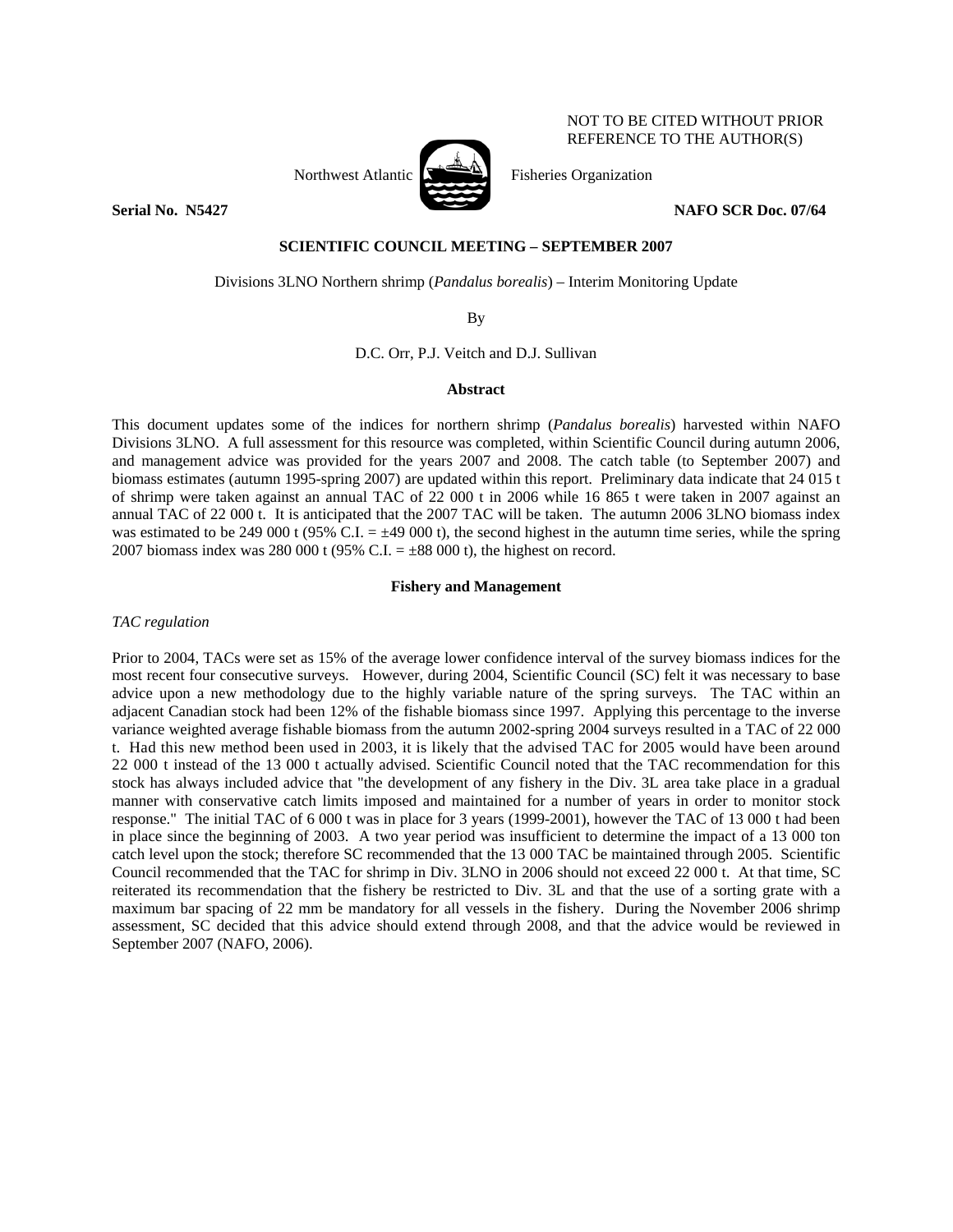

NOT TO BE CITED WITHOUT PRIOR REFERENCE TO THE AUTHOR(S)

## **Serial No. N5427** NAFO SCR Doc. 07/64

## **SCIENTIFIC COUNCIL MEETING – SEPTEMBER 2007**

Divisions 3LNO Northern shrimp (*Pandalus borealis*) – Interim Monitoring Update

By

D.C. Orr, P.J. Veitch and D.J. Sullivan

# **Abstract**

This document updates some of the indices for northern shrimp (*Pandalus borealis*) harvested within NAFO Divisions 3LNO. A full assessment for this resource was completed, within Scientific Council during autumn 2006, and management advice was provided for the years 2007 and 2008. The catch table (to September 2007) and biomass estimates (autumn 1995-spring 2007) are updated within this report. Preliminary data indicate that 24 015 t of shrimp were taken against an annual TAC of 22 000 t in 2006 while 16 865 t were taken in 2007 against an annual TAC of 22 000 t. It is anticipated that the 2007 TAC will be taken. The autumn 2006 3LNO biomass index was estimated to be 249 000 t (95% C.I.  $= \pm 49$  000 t), the second highest in the autumn time series, while the spring 2007 biomass index was 280 000 t (95% C.I.  $= \pm 88000$  t), the highest on record.

# **Fishery and Management**

*TAC regulation* 

Prior to 2004, TACs were set as 15% of the average lower confidence interval of the survey biomass indices for the most recent four consecutive surveys. However, during 2004, Scientific Council (SC) felt it was necessary to base advice upon a new methodology due to the highly variable nature of the spring surveys. The TAC within an adjacent Canadian stock had been 12% of the fishable biomass since 1997. Applying this percentage to the inverse variance weighted average fishable biomass from the autumn 2002-spring 2004 surveys resulted in a TAC of 22 000 t. Had this new method been used in 2003, it is likely that the advised TAC for 2005 would have been around 22 000 t instead of the 13 000 t actually advised. Scientific Council noted that the TAC recommendation for this stock has always included advice that "the development of any fishery in the Div. 3L area take place in a gradual manner with conservative catch limits imposed and maintained for a number of years in order to monitor stock response." The initial TAC of 6 000 t was in place for 3 years (1999-2001), however the TAC of 13 000 t had been in place since the beginning of 2003. A two year period was insufficient to determine the impact of a 13 000 ton catch level upon the stock; therefore SC recommended that the 13 000 TAC be maintained through 2005. Scientific Council recommended that the TAC for shrimp in Div. 3LNO in 2006 should not exceed 22 000 t. At that time, SC reiterated its recommendation that the fishery be restricted to Div. 3L and that the use of a sorting grate with a maximum bar spacing of 22 mm be mandatory for all vessels in the fishery. During the November 2006 shrimp assessment, SC decided that this advice should extend through 2008, and that the advice would be reviewed in September 2007 (NAFO, 2006).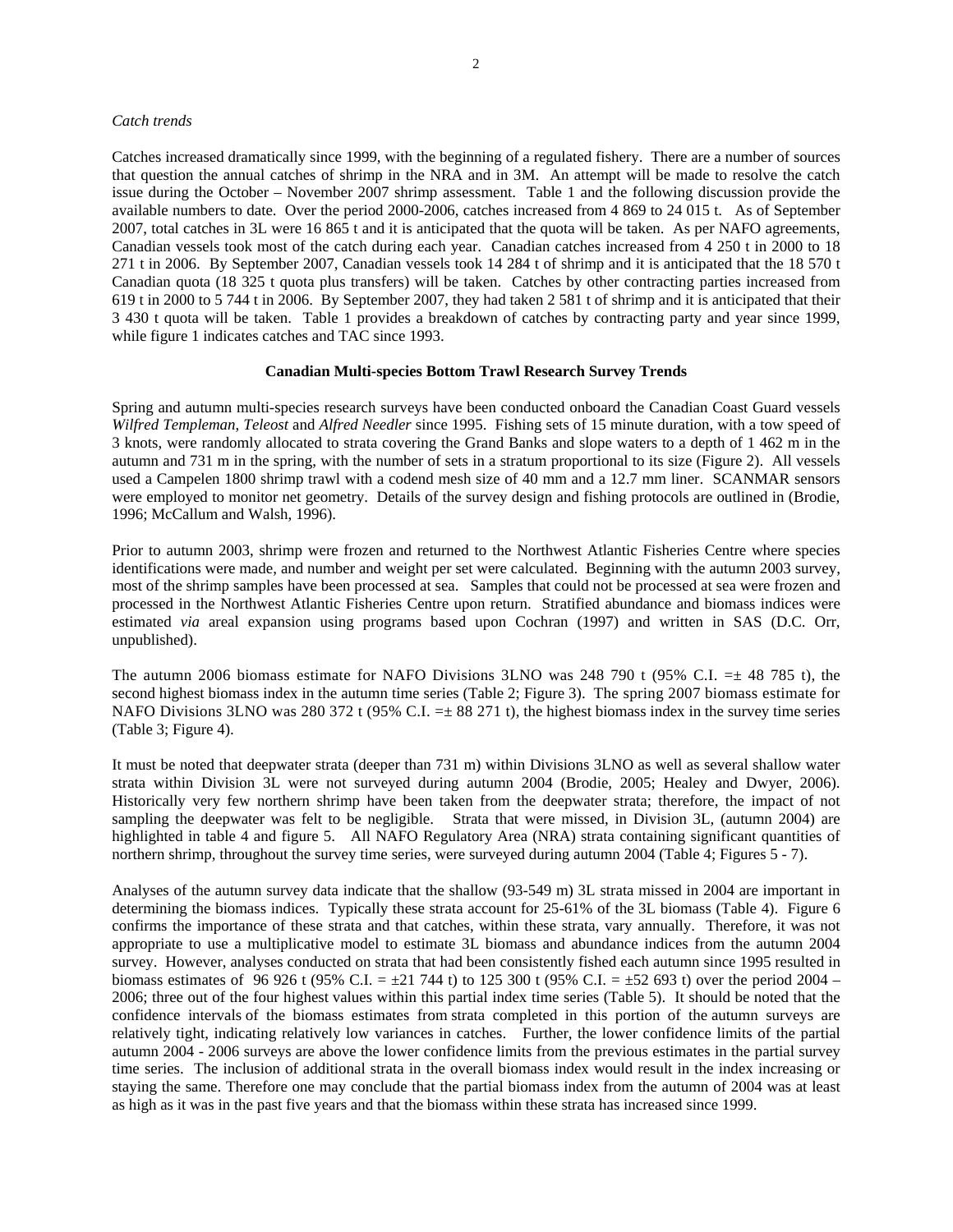### *Catch trends*

Catches increased dramatically since 1999, with the beginning of a regulated fishery. There are a number of sources that question the annual catches of shrimp in the NRA and in 3M. An attempt will be made to resolve the catch issue during the October – November 2007 shrimp assessment. Table 1 and the following discussion provide the available numbers to date. Over the period 2000-2006, catches increased from 4 869 to 24 015 t. As of September 2007, total catches in 3L were 16 865 t and it is anticipated that the quota will be taken. As per NAFO agreements, Canadian vessels took most of the catch during each year. Canadian catches increased from 4 250 t in 2000 to 18 271 t in 2006. By September 2007, Canadian vessels took 14 284 t of shrimp and it is anticipated that the 18 570 t Canadian quota (18 325 t quota plus transfers) will be taken. Catches by other contracting parties increased from 619 t in 2000 to 5 744 t in 2006. By September 2007, they had taken 2 581 t of shrimp and it is anticipated that their 3 430 t quota will be taken. Table 1 provides a breakdown of catches by contracting party and year since 1999, while figure 1 indicates catches and TAC since 1993.

# **Canadian Multi-species Bottom Trawl Research Survey Trends**

Spring and autumn multi-species research surveys have been conducted onboard the Canadian Coast Guard vessels *Wilfred Templeman*, *Teleost* and *Alfred Needler* since 1995. Fishing sets of 15 minute duration, with a tow speed of 3 knots, were randomly allocated to strata covering the Grand Banks and slope waters to a depth of 1 462 m in the autumn and 731 m in the spring, with the number of sets in a stratum proportional to its size (Figure 2). All vessels used a Campelen 1800 shrimp trawl with a codend mesh size of 40 mm and a 12.7 mm liner. SCANMAR sensors were employed to monitor net geometry. Details of the survey design and fishing protocols are outlined in (Brodie, 1996; McCallum and Walsh, 1996).

Prior to autumn 2003, shrimp were frozen and returned to the Northwest Atlantic Fisheries Centre where species identifications were made, and number and weight per set were calculated. Beginning with the autumn 2003 survey, most of the shrimp samples have been processed at sea. Samples that could not be processed at sea were frozen and processed in the Northwest Atlantic Fisheries Centre upon return. Stratified abundance and biomass indices were estimated *via* areal expansion using programs based upon Cochran (1997) and written in SAS (D.C. Orr, unpublished).

The autumn 2006 biomass estimate for NAFO Divisions 3LNO was 248 790 t (95% C.I.  $=\pm 48$  785 t), the second highest biomass index in the autumn time series (Table 2; Figure 3). The spring 2007 biomass estimate for NAFO Divisions 3LNO was 280 372 t (95% C.I.  $=\pm 88$  271 t), the highest biomass index in the survey time series (Table 3; Figure 4).

It must be noted that deepwater strata (deeper than 731 m) within Divisions 3LNO as well as several shallow water strata within Division 3L were not surveyed during autumn 2004 (Brodie, 2005; Healey and Dwyer, 2006). Historically very few northern shrimp have been taken from the deepwater strata; therefore, the impact of not sampling the deepwater was felt to be negligible. Strata that were missed, in Division 3L, (autumn 2004) are highlighted in table 4 and figure 5. All NAFO Regulatory Area (NRA) strata containing significant quantities of northern shrimp, throughout the survey time series, were surveyed during autumn 2004 (Table 4; Figures 5 - 7).

Analyses of the autumn survey data indicate that the shallow (93-549 m) 3L strata missed in 2004 are important in determining the biomass indices. Typically these strata account for 25-61% of the 3L biomass (Table 4). Figure 6 confirms the importance of these strata and that catches, within these strata, vary annually. Therefore, it was not appropriate to use a multiplicative model to estimate 3L biomass and abundance indices from the autumn 2004 survey. However, analyses conducted on strata that had been consistently fished each autumn since 1995 resulted in biomass estimates of 96 926 t (95% C.I. =  $\pm 21$  744 t) to 125 300 t (95% C.I. =  $\pm 52$  693 t) over the period 2004 – 2006; three out of the four highest values within this partial index time series (Table 5). It should be noted that the confidence intervals of the biomass estimates from strata completed in this portion of the autumn surveys are relatively tight, indicating relatively low variances in catches. Further, the lower confidence limits of the partial autumn 2004 - 2006 surveys are above the lower confidence limits from the previous estimates in the partial survey time series. The inclusion of additional strata in the overall biomass index would result in the index increasing or staying the same. Therefore one may conclude that the partial biomass index from the autumn of 2004 was at least as high as it was in the past five years and that the biomass within these strata has increased since 1999.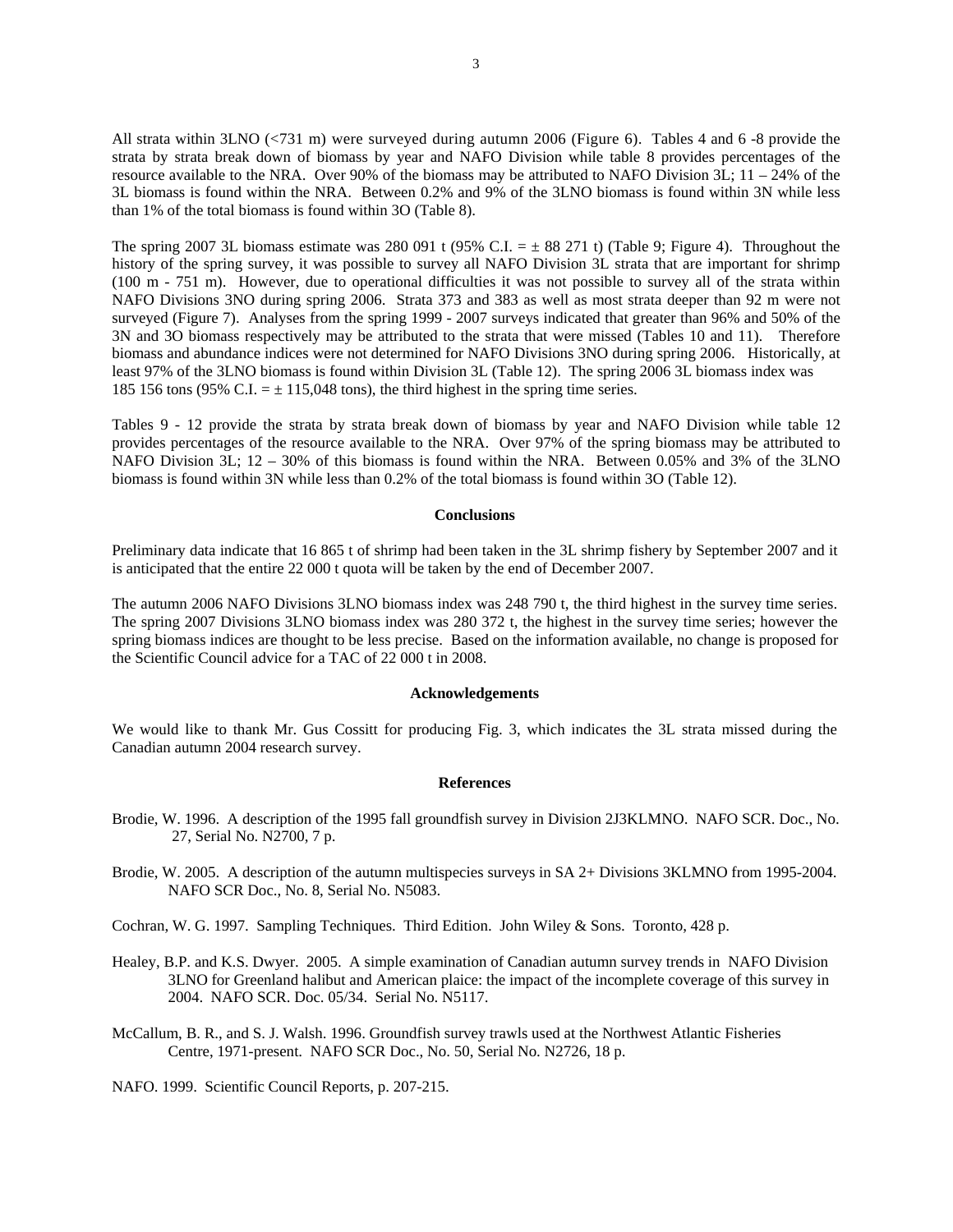All strata within 3LNO (<731 m) were surveyed during autumn 2006 (Figure 6). Tables 4 and 6 -8 provide the strata by strata break down of biomass by year and NAFO Division while table 8 provides percentages of the resource available to the NRA. Over 90% of the biomass may be attributed to NAFO Division 3L; 11 – 24% of the 3L biomass is found within the NRA. Between 0.2% and 9% of the 3LNO biomass is found within 3N while less than 1% of the total biomass is found within 3O (Table 8).

The spring 2007 3L biomass estimate was 280 091 t (95% C.I.  $= \pm 88$  271 t) (Table 9; Figure 4). Throughout the history of the spring survey, it was possible to survey all NAFO Division 3L strata that are important for shrimp (100 m - 751 m). However, due to operational difficulties it was not possible to survey all of the strata within NAFO Divisions 3NO during spring 2006. Strata 373 and 383 as well as most strata deeper than 92 m were not surveyed (Figure 7). Analyses from the spring 1999 - 2007 surveys indicated that greater than 96% and 50% of the 3N and 3O biomass respectively may be attributed to the strata that were missed (Tables 10 and 11). Therefore biomass and abundance indices were not determined for NAFO Divisions 3NO during spring 2006. Historically, at least 97% of the 3LNO biomass is found within Division 3L (Table 12). The spring 2006 3L biomass index was 185 156 tons (95% C.I.  $= \pm 115,048$  tons), the third highest in the spring time series.

Tables 9 - 12 provide the strata by strata break down of biomass by year and NAFO Division while table 12 provides percentages of the resource available to the NRA. Over 97% of the spring biomass may be attributed to NAFO Division 3L; 12 – 30% of this biomass is found within the NRA. Between 0.05% and 3% of the 3LNO biomass is found within 3N while less than 0.2% of the total biomass is found within 3O (Table 12).

### **Conclusions**

Preliminary data indicate that 16 865 t of shrimp had been taken in the 3L shrimp fishery by September 2007 and it is anticipated that the entire 22 000 t quota will be taken by the end of December 2007.

The autumn 2006 NAFO Divisions 3LNO biomass index was 248 790 t, the third highest in the survey time series. The spring 2007 Divisions 3LNO biomass index was 280 372 t, the highest in the survey time series; however the spring biomass indices are thought to be less precise. Based on the information available, no change is proposed for the Scientific Council advice for a TAC of 22 000 t in 2008.

#### **Acknowledgements**

We would like to thank Mr. Gus Cossitt for producing Fig. 3, which indicates the 3L strata missed during the Canadian autumn 2004 research survey.

#### **References**

- Brodie, W. 1996. A description of the 1995 fall groundfish survey in Division 2J3KLMNO. NAFO SCR. Doc., No. 27, Serial No. N2700, 7 p.
- Brodie, W. 2005. A description of the autumn multispecies surveys in SA 2+ Divisions 3KLMNO from 1995-2004. NAFO SCR Doc., No. 8, Serial No. N5083.

Cochran, W. G. 1997. Sampling Techniques. Third Edition. John Wiley & Sons. Toronto, 428 p.

- Healey, B.P. and K.S. Dwyer. 2005. A simple examination of Canadian autumn survey trends in NAFO Division 3LNO for Greenland halibut and American plaice: the impact of the incomplete coverage of this survey in 2004. NAFO SCR. Doc. 05/34. Serial No. N5117.
- McCallum, B. R., and S. J. Walsh. 1996. Groundfish survey trawls used at the Northwest Atlantic Fisheries Centre, 1971-present. NAFO SCR Doc., No. 50, Serial No. N2726, 18 p.

NAFO. 1999. Scientific Council Reports, p. 207-215.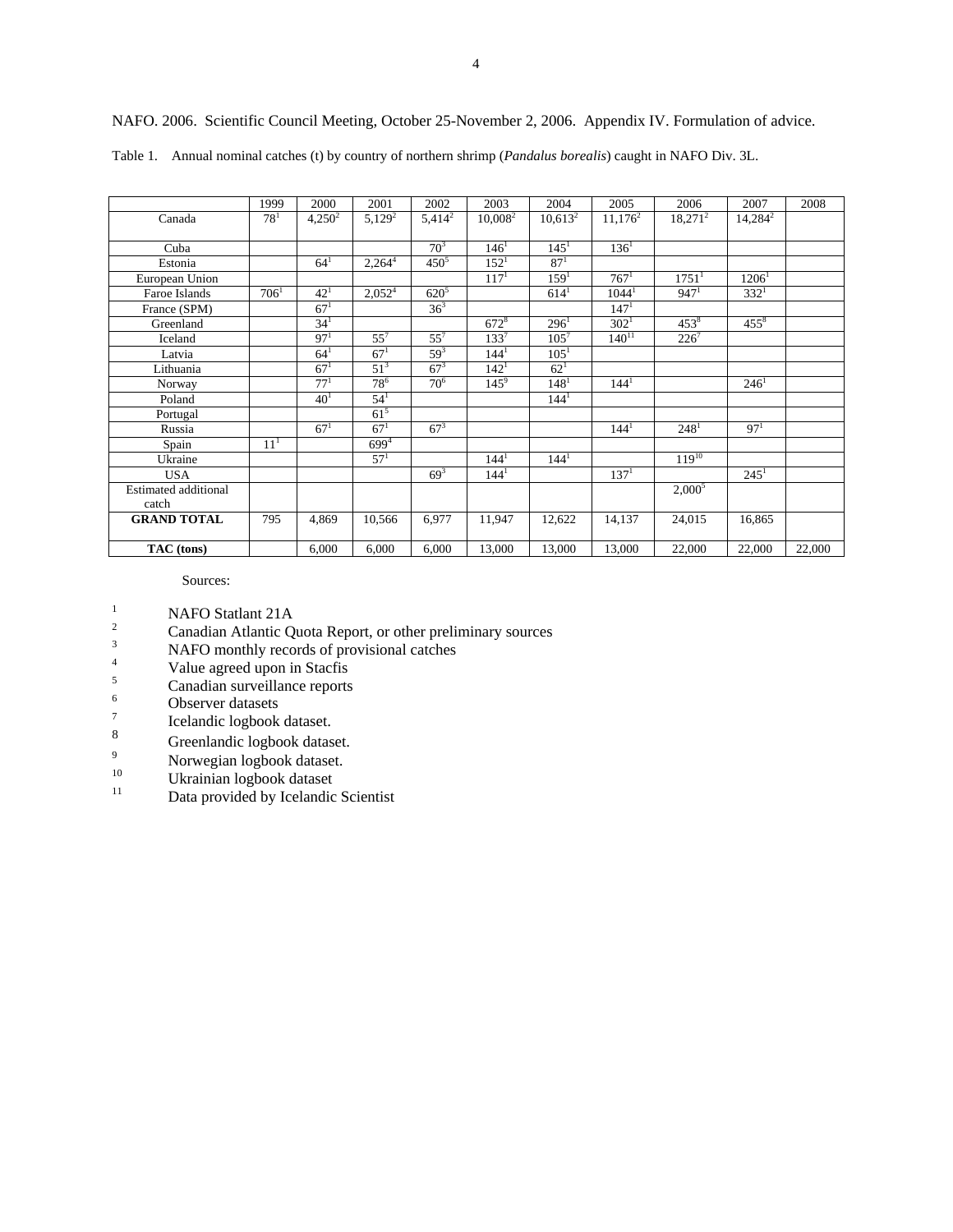|                             | 1999     | 2000            | 2001            | 2002                 | 2003             | 2004             | 2005             | 2006                | 2007       | 2008   |
|-----------------------------|----------|-----------------|-----------------|----------------------|------------------|------------------|------------------|---------------------|------------|--------|
| Canada                      | $78^{1}$ | $4,250^2$       | $5,129^2$       | $5,4\overline{14}^2$ | $10,008^2$       | $10,613^2$       | $11,176^2$       | $18,271^2$          | $14,284^2$ |        |
|                             |          |                 |                 |                      |                  |                  |                  |                     |            |        |
| Cuba                        |          |                 |                 | 70 <sup>3</sup>      | 146 <sup>1</sup> | $145^1$          | $136^1$          |                     |            |        |
| Estonia                     |          | $64^{1}$        | $2,264^{4}$     | $450^{5}$            | $152^1$          | 87 <sup>1</sup>  |                  |                     |            |        |
| European Union              |          |                 |                 |                      | 117 <sup>1</sup> | 159 <sup>1</sup> | $767^1$          | $1751$ <sup>1</sup> | $1206^1$   |        |
| Faroe Islands               | $706^1$  | $42^{1}$        | $2,052^4$       | $620^{5}$            |                  | $614^1$          | $1044^1$         | $947^1$             | $332^1$    |        |
| France (SPM)                |          | 67 <sup>1</sup> |                 | $36^{3}$             |                  |                  | 147 <sup>1</sup> |                     |            |        |
| Greenland                   |          | 34 <sup>1</sup> |                 |                      | $672^8$          | $296^1$          | 302 <sup>1</sup> | $453^8$             | $455^8$    |        |
| Iceland                     |          | 97 <sup>1</sup> | $55^7$          | $55^7$               | $133^7$          | $105^{7}$        | $140^{11}$       | $226^7$             |            |        |
| Latvia                      |          | $64^{1}$        | $67^{1}$        | $59^{3}$             | $144^{1}$        | $105^{1}$        |                  |                     |            |        |
| Lithuania                   |          | 67 <sup>1</sup> | $51^3$          | $67^{3}$             | 142 <sup>1</sup> | $62^{1}$         |                  |                     |            |        |
| Norway                      |          | $77^{1}$        | $78^{6}$        | 70 <sup>6</sup>      | $145^9$          | 148 <sup>1</sup> | 144 <sup>1</sup> |                     | $246^1$    |        |
| Poland                      |          | 40 <sup>1</sup> | $54^{1}$        |                      |                  | 144 <sup>1</sup> |                  |                     |            |        |
| Portugal                    |          |                 | $61^5$          |                      |                  |                  |                  |                     |            |        |
| Russia                      |          | $67^{1}$        | $67^{1}$        | $67^{3}$             |                  |                  | 144 <sup>1</sup> | $248^1$             | $97^{1}$   |        |
| Spain                       | $11^{1}$ |                 | $699^{4}$       |                      |                  |                  |                  |                     |            |        |
| Ukraine                     |          |                 | 57 <sup>1</sup> |                      | 144 <sup>1</sup> | 144 <sup>1</sup> |                  | $119^{10}$          |            |        |
| <b>USA</b>                  |          |                 |                 | $69^{3}$             | 144 <sup>1</sup> |                  | 137 <sup>1</sup> |                     | $245^1$    |        |
| <b>Estimated additional</b> |          |                 |                 |                      |                  |                  |                  | $2,000^5$           |            |        |
| catch                       |          |                 |                 |                      |                  |                  |                  |                     |            |        |
| <b>GRAND TOTAL</b>          | 795      | 4,869           | 10,566          | 6,977                | 11,947           | 12,622           | 14,137           | 24,015              | 16,865     |        |
|                             |          |                 |                 |                      |                  |                  |                  |                     |            |        |
| TAC (tons)                  |          | 6,000           | 6,000           | 6,000                | 13,000           | 13,000           | 13,000           | 22,000              | 22,000     | 22,000 |

NAFO. 2006. Scientific Council Meeting, October 25-November 2, 2006. Appendix IV. Formulation of advice.

Table 1. Annual nominal catches (t) by country of northern shrimp (*Pandalus borealis*) caught in NAFO Div. 3L.

Sources:

- 
- <sup>1</sup><br><sup>2</sup> Canadian Atlantic Quota Report, or other preliminary sources<br><sup>3</sup> NAFO monthly records of provisional estabes
- NAFO monthly records of provisional catches
- 4  $V$ alue agreed upon in Stacfis
- $\frac{5}{6}$  Canadian surveillance reports
- Observer datasets
- 7  $\frac{7}{8}$  Icelandic logbook dataset.
- $\frac{8}{9}$  Greenlandic logbook dataset.
- $N$ orwegian logbook dataset.
- $10$  Ukrainian logbook dataset
- Data provided by Icelandic Scientist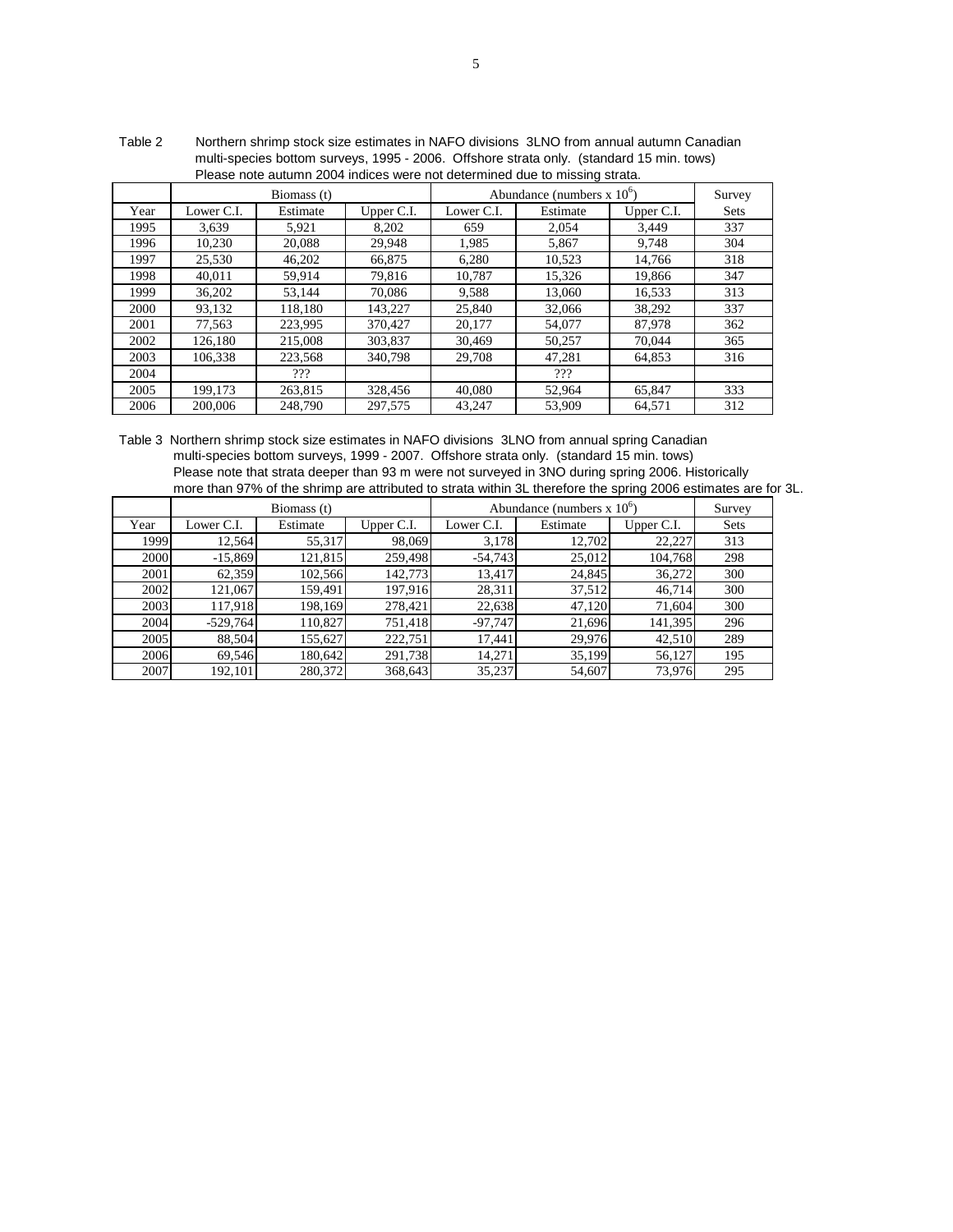|      | Thease Hote autumn zoo+ indices were not determined due to missing strata. |             |            |            |                                     |            |        |  |  |  |
|------|----------------------------------------------------------------------------|-------------|------------|------------|-------------------------------------|------------|--------|--|--|--|
|      |                                                                            | Biomass (t) |            |            | Abundance (numbers $x 10^{\circ}$ ) |            | Survey |  |  |  |
| Year | Lower C.I.                                                                 | Estimate    | Upper C.I. | Lower C.I. | Estimate                            | Upper C.I. | Sets   |  |  |  |
| 1995 | 3.639                                                                      | 5,921       | 8,202      | 659        | 2,054                               | 3,449      | 337    |  |  |  |
| 1996 | 10,230                                                                     | 20,088      | 29,948     | 1,985      | 5,867                               | 9,748      | 304    |  |  |  |
| 1997 | 25,530                                                                     | 46,202      | 66,875     | 6,280      | 10,523                              | 14,766     | 318    |  |  |  |
| 1998 | 40,011                                                                     | 59,914      | 79,816     | 10,787     | 15,326                              | 19,866     | 347    |  |  |  |
| 1999 | 36,202                                                                     | 53,144      | 70,086     | 9,588      | 13,060                              | 16,533     | 313    |  |  |  |
| 2000 | 93,132                                                                     | 118,180     | 143,227    | 25,840     | 32,066                              | 38,292     | 337    |  |  |  |
| 2001 | 77,563                                                                     | 223,995     | 370,427    | 20,177     | 54,077                              | 87,978     | 362    |  |  |  |
| 2002 | 126,180                                                                    | 215,008     | 303,837    | 30.469     | 50,257                              | 70,044     | 365    |  |  |  |
| 2003 | 106.338                                                                    | 223.568     | 340,798    | 29,708     | 47,281                              | 64,853     | 316    |  |  |  |
| 2004 |                                                                            | ???         |            |            | ???                                 |            |        |  |  |  |
| 2005 | 199.173                                                                    | 263,815     | 328,456    | 40,080     | 52,964                              | 65.847     | 333    |  |  |  |
| 2006 | 200,006                                                                    | 248,790     | 297,575    | 43.247     | 53,909                              | 64.571     | 312    |  |  |  |

 Please note autumn 2004 indices were not determined due to missing strata. Table 2 Northern shrimp stock size estimates in NAFO divisions 3LNO from annual autumn Canadian multi-species bottom surveys, 1995 - 2006. Offshore strata only. (standard 15 min. tows)

Please note that strata deeper than 93 m were not surveyed in 3NO during spring 2006. Historically more than 97% of the shrimp are attributed to strata within 3L therefore the spring 2006 estimates are for 3L. Table 3 Northern shrimp stock size estimates in NAFO divisions 3LNO from annual spring Canadian multi-species bottom surveys, 1999 - 2007. Offshore strata only. (standard 15 min. tows)

|      |            | Biomass (t) |            | Abundance (numbers $x 10^{\circ}$ ) |          | Survey     |      |
|------|------------|-------------|------------|-------------------------------------|----------|------------|------|
| Year | Lower C.I. | Estimate    | Upper C.I. | Lower C.I.                          | Estimate | Upper C.I. | Sets |
| 1999 | 12,564     | 55,317      | 98,069     | 3,178                               | 12,702   | 22,227     | 313  |
| 2000 | $-15,869$  | 121,815     | 259,498    | $-54,743$                           | 25,012   | 104.768    | 298  |
| 2001 | 62,359     | 102,566     | 142,773    | 13,417                              | 24,845   | 36,272     | 300  |
| 2002 | 121,067    | 159.491     | 197,916    | 28,311                              | 37,512   | 46,714     | 300  |
| 2003 | 117,918    | 198,169     | 278,421    | 22,638                              | 47,120   | 71,604     | 300  |
| 2004 | $-529,764$ | 110.827     | 751,418    | $-97,747$                           | 21,696   | 141,395    | 296  |
| 2005 | 88,504     | 155,627     | 222,751    | 17,441                              | 29,976   | 42,510     | 289  |
| 2006 | 69,546     | 180,642     | 291,738    | 14,271                              | 35,199   | 56,127     | 195  |
| 2007 | 192,101    | 280,372     | 368,643    | 35,237                              | 54,607   | 73,976     | 295  |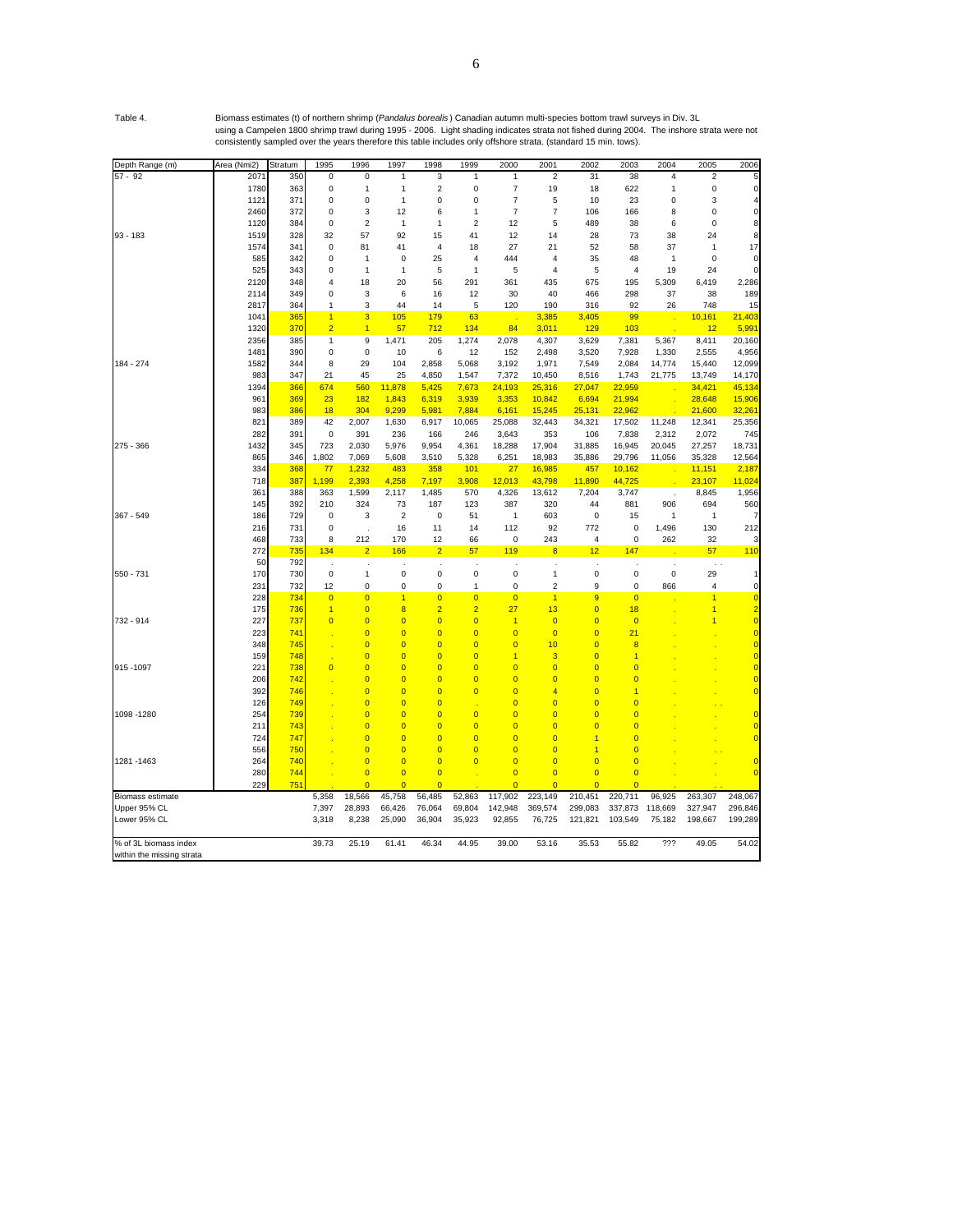Table 4. Biomass estimates (t) of northern shrimp (*Pandalus borealis* ) Canadian autumn multi-species bottom trawl surveys in Div. 3L using a Campelen 1800 shrimp trawl during 1995 - 2006. Light shading indicates strata not fished during 2004. The inshore strata were not consistently sampled over the years therefore this table includes only offshore strata. (standard 15 min. tows).

| Depth Range (m)           | Area (Nmi2) | Stratum         | 1995           | 1996                        | 1997                    | 1998           | 1999           | 2000           | 2001                    | 2002           | 2003                    | 2004           | 2005                    | 2006           |
|---------------------------|-------------|-----------------|----------------|-----------------------------|-------------------------|----------------|----------------|----------------|-------------------------|----------------|-------------------------|----------------|-------------------------|----------------|
| $57 - 92$                 | 2071        | 350             | 0              | 0                           | 1                       | 3              | 1              | $\mathbf{1}$   | $\overline{2}$          | 31             | 38                      | $\overline{4}$ | 2                       |                |
|                           | 1780        | 363             | 0              | 1                           | $\mathbf{1}$            | 2              | 0              | 7              | 19                      | 18             | 622                     | $\overline{1}$ | 0                       | 0              |
|                           | 1121        | 371             | 0              | 0                           | $\mathbf{1}$            | 0              | 0              | 7              | 5                       | 10             | 23                      | 0              | 3                       |                |
|                           | 2460        | 372             | 0              | 3                           | 12                      | 6              | 1              | $\overline{7}$ | $\overline{7}$          | 106            | 166                     | 8              | 0                       | $\Omega$       |
|                           | 1120        | 384             | 0              | $\overline{2}$              | $\mathbf{1}$            | $\mathbf{1}$   | $\overline{2}$ | 12             | 5                       | 489            | 38                      | 6              | 0                       | ε              |
| $93 - 183$                | 1519        | 328             | 32             | 57                          | 92                      | 15             | 41             | 12             | 14                      | 28             | 73                      | 38             | 24                      | 8              |
|                           | 1574        | 341             | 0              | 81                          | 41                      | 4              | 18             | 27             | 21                      | 52             | 58                      | 37             | 1                       | 17             |
|                           | 585         | 342             | 0              | $\mathbf{1}$                | 0                       | 25             | 4              | 444            | 4                       | 35             | 48                      | $\mathbf{1}$   | 0                       | 0              |
|                           | 525         | 343             | 0              | 1                           | $\mathbf{1}$            | 5              | $\overline{1}$ | 5              | 4                       | 5              | 4                       | 19             | 24                      |                |
|                           | 2120        | 348             | 4              | 18                          | 20                      | 56             | 291            | 361            | 435                     | 675            | 195                     | 5,309          | 6,419                   | 2,286          |
|                           | 2114        | 349             | 0              | 3                           | 6                       | 16             | 12             | 30             | 40                      | 466            | 298                     | 37             | 38                      | 189            |
|                           | 2817        | 364             | 1              | 3                           | 44                      | 14             | 5              | 120            | 190                     | 316            | 92                      | 26             | 748                     | 15             |
|                           | 1041        | 365             | $\overline{1}$ | 3                           | 105                     | 179            | 63             |                | 3,385                   | 3,405          | 99                      |                | 10,161                  | 21,403         |
|                           | 1320        | 37 <sub>C</sub> | $\overline{2}$ | $\overline{1}$              | 57                      | 712            | 134            | 84             | 3,011                   | 129            | 103                     |                | 12                      | 5,991          |
|                           | 2356        | 385             | 1              | 9                           | 1,471                   | 205            | 1,274          | 2,078          | 4,307                   | 3,629          | 7,381                   | 5,367          | 8,411                   | 20,160         |
|                           | 1481        | 390             | 0              | $\mathbf 0$                 | 10                      | 6              | 12             | 152            | 2,498                   | 3,520          | 7,928                   | 1,330          | 2,555                   | 4,956          |
| 184 - 274                 | 1582        | 344             | 8              | 29                          | 104                     | 2,858          | 5,068          | 3,192          | 1,971                   | 7,549          | 2,084                   | 14,774         | 15,440                  | 12,099         |
|                           | 983         | 347             | 21             | 45                          | 25                      | 4,850          | 1,547          | 7,372          | 10,450                  | 8,516          | 1,743                   | 21,775         | 13,749                  | 14,170         |
|                           | 1394        | 366             | 674            | 560                         | 11,878                  | 5,425          | 7,673          | 24,193         | 25,316                  | 27,047         | 22,959                  |                | 34,421                  | 45,134         |
|                           | 961         | 369             | 23             | 182                         | 1,843                   | 6,319          | 3,939          | 3,353          | 10,842                  | 6,694          | 21,994                  |                | 28,648                  | 15,906         |
|                           | 983         | 386             | 18             | 304                         | 9,299                   | 5,981          | 7,884          | 6,161          | 15,245                  | 25,131         | 22,962                  |                | 21,600                  | 32,26'         |
|                           | 821         | 389             | 42             | 2,007                       | 1,630                   | 6,917          | 10,065         | 25,088         | 32,443                  | 34,321         | 17,502                  | 11,248         | 12,341                  | 25,356         |
|                           | 282         | 391             | 0              | 391                         | 236                     | 166            | 246            | 3,643          | 353                     | 106            | 7,838                   | 2,312          | 2,072                   | 745            |
| 275 - 366                 | 1432        | 345             | 723            | 2,030                       | 5,976                   | 9,954          | 4,361          | 18,288         | 17,904                  | 31,885         | 16,945                  | 20,045         | 27,257                  | 18,731         |
|                           | 865         | 346             | 1,802          | 7,069                       | 5,608                   | 3,510          | 5,328          | 6,251          | 18,983                  | 35,886         | 29,796                  | 11,056         | 35,328                  | 12,564         |
|                           | 334         | 368             | 77             | 1,232                       | 483                     | 358            | 101            | 27             | 16,985                  | 457            | 10,162                  |                | 11,151                  | 2,187          |
|                           | 718         | 387             | 1,199          | 2,393                       | 4,258                   | 7,197          | 3,908          | 12,013         | 43,798                  | 11,890         | 44,725                  |                | 23,107                  | 11,024         |
|                           | 361         | 388             | 363            | 1,599                       | 2,117                   | 1,485          | 570            | 4,326          | 13,612                  | 7,204          | 3,747                   |                | 8,845                   | 1,956          |
|                           | 145         | 392             | 210            | 324                         | 73                      | 187            | 123            | 387            | 320                     | 44             | 881                     | 906            | 694                     | 560            |
| 367 - 549                 | 186         | 729             | 0              | 3                           | $\overline{\mathbf{c}}$ | 0              | 51             | $\mathbf{1}$   | 603                     | 0              | 15                      | 1              | $\mathbf{1}$            |                |
|                           | 216         | 731             | 0              |                             | 16                      | 11             | 14             | 112            | 92                      | 772            | $\pmb{0}$               | 1,496          | 130                     | 212            |
|                           | 468         | 733             | 8              | $\ddot{\phantom{a}}$<br>212 | 170                     | 12             | 66             | 0              | 243                     | 4              | $\pmb{0}$               | 262            | 32                      |                |
|                           | 272         | 735             | 134            | $\overline{2}$              | 166                     | $\overline{2}$ | 57             | 119            | $\overline{\mathbf{8}}$ | 12             | 147                     |                | 57                      | 110            |
|                           | 50          | 792             |                |                             |                         |                |                |                |                         |                |                         |                | $\sim$ .                |                |
| 550 - 731                 | 170         | 730             | 0              | $\mathbf{1}$                | $\mathbf 0$             | 0              | $\mathbf 0$    | $\pmb{0}$      | $\mathbf{1}$            | $\mathbf 0$    | 0                       | $\pmb{0}$      | 29                      | 1              |
|                           | 231         | 732             | 12             | 0                           | $\mathbf 0$             | 0              | 1              | $\mathbf 0$    | $\overline{\mathbf{c}}$ | 9              | 0                       | 866            | $\overline{\mathbf{4}}$ | $\mathbf 0$    |
|                           | 228         | 734             | $\overline{0}$ | $\overline{0}$              | $\overline{1}$          | $\overline{0}$ | $\overline{0}$ | $\overline{0}$ | $\overline{1}$          | 9              | $\overline{\mathbf{0}}$ |                | $\overline{1}$          | $\overline{0}$ |
|                           | 175         | 736             | 1              | $\overline{0}$              | $\overline{\mathbf{8}}$ | $\overline{2}$ | $\overline{2}$ | 27             | 13                      | $\overline{0}$ | 18                      |                | 1                       | $\overline{2}$ |
| 732 - 914                 | 227         | 737             | $\overline{0}$ | $\overline{0}$              | $\overline{0}$          | $\overline{0}$ | $\overline{0}$ | $\blacksquare$ | $\overline{0}$          | $\overline{0}$ | $\overline{0}$          |                | 1                       | $\overline{0}$ |
|                           | 223         | 741             |                | $\overline{0}$              | $\overline{0}$          | $\overline{0}$ | $\overline{0}$ | $\overline{0}$ | $\overline{0}$          | $\overline{0}$ | 21                      |                |                         | $\overline{0}$ |
|                           | 348         | 745             |                | $\overline{0}$              | $\overline{0}$          | $\overline{0}$ | $\overline{0}$ | $\overline{0}$ | 10                      | $\overline{0}$ | 8                       |                |                         | $\overline{0}$ |
|                           | 159         | 748             |                | $\overline{0}$              | $\overline{0}$          | $\overline{0}$ | $\overline{0}$ | $\overline{1}$ | 3                       | $\overline{0}$ | 1                       |                |                         | $\overline{0}$ |
| 915-1097                  | 221         | 738             | $\overline{0}$ | $\overline{0}$              | $\overline{0}$          | $\overline{0}$ | $\overline{0}$ | $\overline{0}$ | $\overline{0}$          | $\overline{0}$ | $\overline{0}$          |                |                         | $\overline{0}$ |
|                           | 206         | 742             |                | $\overline{0}$              | $\overline{0}$          | $\overline{0}$ | $\overline{0}$ | $\overline{0}$ | $\overline{0}$          | $\overline{0}$ | $\overline{0}$          |                |                         | $\overline{0}$ |
|                           | 392         | 746             |                | $\overline{0}$              | $\overline{0}$          | $\overline{0}$ | $\overline{0}$ | $\overline{0}$ | 4                       | O              | 1                       |                |                         | $\overline{0}$ |
|                           | 126         | 749             |                | $\overline{0}$              | $\overline{0}$          | $\overline{0}$ |                | $\overline{0}$ | $\overline{0}$          | $\overline{0}$ | 0                       |                |                         |                |
| 1098 - 1280               | 254         | 739             |                | $\overline{0}$              | $\overline{0}$          | $\overline{0}$ | $\overline{0}$ | $\overline{0}$ | $\overline{0}$          | $\Omega$       | 0                       |                |                         |                |
|                           | 211         | 743             |                | $\overline{0}$              | $\overline{0}$          | $\overline{0}$ | $\overline{0}$ | $\overline{0}$ | $\overline{0}$          | $\Omega$       | $\overline{0}$          |                |                         |                |
|                           | 724         | 747             |                | $\overline{0}$              | $\overline{0}$          | $\overline{0}$ | $\overline{0}$ | $\overline{0}$ | $\overline{0}$          | 1              | $\overline{0}$          |                |                         | $\overline{0}$ |
|                           | 556         | 750             |                | $\overline{0}$              | $\overline{0}$          | $\overline{0}$ | $\overline{0}$ | $\overline{0}$ | $\overline{0}$          | 1              | $\overline{0}$          |                |                         |                |
| 1281 - 1463               | 264         | 740             |                | $\overline{0}$              | $\overline{0}$          | $\overline{0}$ | $\overline{0}$ | $\overline{0}$ | $\overline{0}$          | $\overline{0}$ | $\overline{0}$          |                | $\sim$ $\sim$           | $\overline{C}$ |
|                           | 280         | 744             |                | $\overline{0}$              | $\overline{0}$          | $\overline{0}$ |                | $\overline{0}$ | $\overline{0}$          | $\overline{0}$ | $\overline{0}$          |                |                         | $\overline{c}$ |
|                           | 229         | 751             |                | $\overline{0}$              | $\overline{0}$          | $\overline{0}$ |                | $\overline{0}$ | $\overline{0}$          | $\overline{0}$ | $\overline{0}$          |                |                         |                |
| Biomass estimate          |             |                 | 5,358          | 18,566                      | 45,758                  | 56,485         | 52,863         | 117,902        | 223,149                 | 210,451        | 220,711                 | 96,925         | 263,307                 | 248,067        |
| Upper 95% CL              |             |                 | 7,397          | 28,893                      | 66,426                  | 76,064         | 69,804         | 142,948        | 369,574                 | 299,083        | 337,873                 | 118,669        | 327,947                 | 296,846        |
| Lower 95% CL              |             |                 | 3,318          | 8,238                       | 25,090                  | 36,904         | 35,923         | 92,855         | 76,725                  | 121,821        | 103,549                 | 75,182         | 198,667                 | 199,289        |
|                           |             |                 |                |                             |                         |                |                |                |                         |                |                         |                |                         |                |
| % of 3L biomass index     |             |                 | 39.73          | 25.19                       | 61.41                   | 46.34          | 44.95          | 39.00          | 53.16                   | 35.53          | 55.82                   | ???            | 49.05                   | 54.02          |
| within the missing strata |             |                 |                |                             |                         |                |                |                |                         |                |                         |                |                         |                |
|                           |             |                 |                |                             |                         |                |                |                |                         |                |                         |                |                         |                |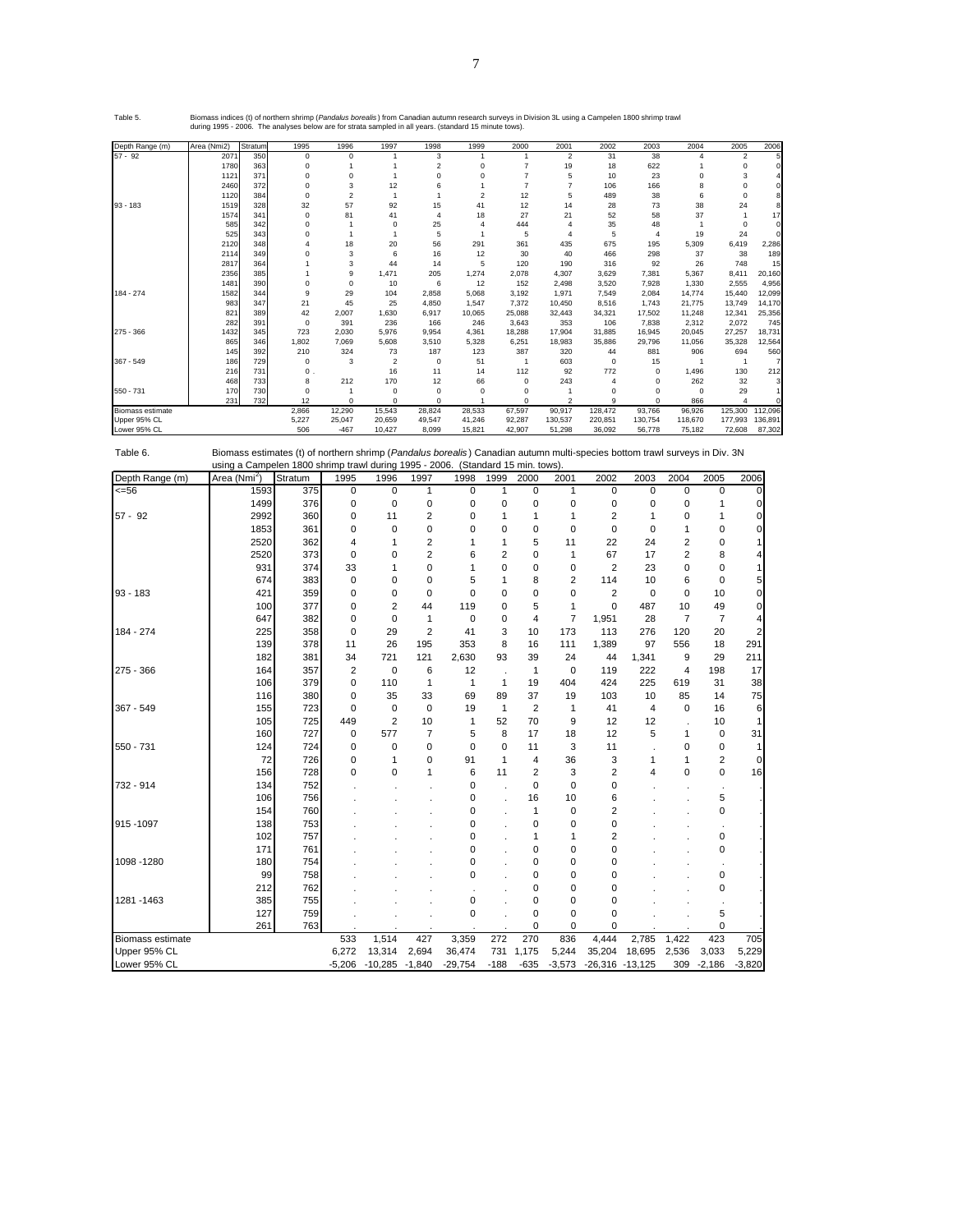7

Biomass indices (t) of northern shrimp (*Pandalus borealis*) from Canadian autumn research surveys in Division 3L using a Campelen 1800 shrimp trawl<br>during 1995 - 2006. The analyses below are for strata sampled in all year

| Depth Range (m)         | Area (Nmi2) | Stratum | 1995        | 1996           | 1997           | 1998           | 1999           | 2000        | 2001           | 2002     | 2003     | 2004        | 2005           | 2006    |
|-------------------------|-------------|---------|-------------|----------------|----------------|----------------|----------------|-------------|----------------|----------|----------|-------------|----------------|---------|
| $57 - 92$               | 2071        | 350     | $^{\circ}$  | $\Omega$       |                | 3              |                |             | $\overline{2}$ | 31       | 38       | 4           | $\overline{2}$ |         |
|                         | 1780        | 363     | C           |                |                | $\overline{2}$ | $\Omega$       |             | 19             | 18       | 622      |             | $\Omega$       |         |
|                         | 1121        | 371     | $\Omega$    | $\Omega$       |                | $\Omega$       | $\Omega$       |             | 5              | 10       | 23       | $\Omega$    | 3              |         |
|                         | 2460        | 372     | $^{\circ}$  | 3              | 12             |                |                |             |                | 106      | 166      | 8           | $\Omega$       |         |
|                         | 1120        | 384     | $^{\circ}$  | $\overline{c}$ |                |                | $\mathfrak{p}$ | 12          | 5              | 489      | 38       | 6           | $^{\circ}$     |         |
| $93 - 183$              | 1519        | 328     | 32          | 57             | 92             | 15             | 41             | 12          | 14             | 28       | 73       | 38          | 24             |         |
|                         | 1574        | 341     | $\mathbf 0$ | 81             | 41             | $\overline{4}$ | 18             | 27          | 21             | 52       | 58       | 37          |                | 17      |
|                         | 585         | 342     | $^{\circ}$  |                | $\Omega$       | 25             |                | 444         | 4              | 35       | 48       |             | $^{\circ}$     |         |
|                         | 525         | 343     | $\Omega$    |                |                | 5              |                | 5           | Δ              | 5        | 4        | 19          | 24             |         |
|                         | 2120        | 348     |             | 18             | 20             | 56             | 291            | 361         | 435            | 675      | 195      | 5,309       | 6,419          | 2,286   |
|                         | 2114        | 349     |             | 3              | 6              | 16             | 12             | 30          | 40             | 466      | 298      | 37          | 38             | 189     |
|                         | 2817        | 364     |             | 3              | 44             | 14             | 5              | 120         | 190            | 316      | 92       | 26          | 748            | 15      |
|                         | 2356        | 385     |             | 9              | 1,471          | 205            | 1,274          | 2.078       | 4,307          | 3.629    | 7,381    | 5.367       | 8.411          | 20,160  |
|                         | 1481        | 390     | $\Omega$    | $\Omega$       | 10             | 6              | 12             | 152         | 2,498          | 3,520    | 7,928    | 1,330       | 2,555          | 4,956   |
| 184 - 274               | 1582        | 344     | 9           | 29             | 104            | 2.858          | 5,068          | 3,192       | 1,971          | 7,549    | 2,084    | 14,774      | 15,440         | 12,099  |
|                         | 983         | 347     | 21          | 45             | 25             | 4,850          | 1,547          | 7,372       | 10,450         | 8,516    | 1,743    | 21,775      | 13,749         | 14,170  |
|                         | 821         | 389     | 42          | 2,007          | 1.630          | 6.917          | 10,065         | 25.088      | 32.443         | 34,321   | 17.502   | 11,248      | 12,341         | 25,356  |
|                         | 282         | 391     | $\mathbf 0$ | 391            | 236            | 166            | 246            | 3,643       | 353            | 106      | 7.838    | 2,312       | 2,072          | 745     |
| 275 - 366               | 1432        | 345     | 723         | 2,030          | 5,976          | 9,954          | 4,361          | 18,288      | 17,904         | 31,885   | 16,945   | 20,045      | 27,257         | 18,731  |
|                         | 865         | 346     | 1,802       | 7,069          | 5,608          | 3,510          | 5,328          | 6,251       | 18,983         | 35,886   | 29,796   | 11,056      | 35,328         | 12,564  |
|                         | 145         | 392     | 210         | 324            | 73             | 187            | 123            | 387         | 320            | 44       | 881      | 906         | 694            | 560     |
| 367 - 549               | 186         | 729     | $\mathbf 0$ | 3              | $\overline{2}$ | $\mathbf 0$    | 51             |             | 603            | $\Omega$ | 15       |             | -1             |         |
|                         | 216         | 731     | 0           |                | 16             | 11             | 14             | 112         | 92             | 772      | 0        | 1,496       | 130            | 212     |
|                         | 468         | 733     | 8           | 212            | 170            | 12             | 66             | $\mathbf 0$ | 243            |          | $\Omega$ | 262         | 32             |         |
| 550 - 731               | 170         | 730     | $\Omega$    |                | $\mathbf 0$    | $\Omega$       | $\Omega$       | $\Omega$    |                |          | $\Omega$ | $\mathbf 0$ | 29             |         |
|                         | 231         | 732     | 12          | $\mathbf 0$    | $\Omega$       | $\Omega$       |                | $\Omega$    | $\overline{c}$ | 9        | $\Omega$ | 866         | $\overline{4}$ |         |
| <b>Biomass estimate</b> |             |         | 2,866       | 12,290         | 15,543         | 28,824         | 28,533         | 67,597      | 90,917         | 128,472  | 93,766   | 96,926      | 125,300        | 112,096 |
| Upper 95% CL            |             |         | 5,227       | 25,047         | 20,659         | 49,547         | 41,246         | 92,287      | 130,537        | 220,851  | 130,754  | 118,670     | 177.993        | 136,891 |
| Lower 95% CL            |             |         | 506         | $-467$         | 10.427         | 8.099          | 15.821         | 42.907      | 51.298         | 36.092   | 56,778   | 75.182      | 72,608         | 87,302  |

Table 6. Biomass estimates (t) of northern shrimp (*Pandalus borealis* ) Canadian autumn multi-species bottom trawl surveys in Div. 3N using a Campelen 1800 shrimp trawl during 1995 - 2006. (Standard 15 min. tows).

| Depth Range (m)  | Area (Nmi <sup>2</sup> ) | Stratum | 1995           | 1996           | 1997           | 1998         | 1999           | 2000           | 2001           | 2002           | 2003        | 2004           | 2005           | 2006     |
|------------------|--------------------------|---------|----------------|----------------|----------------|--------------|----------------|----------------|----------------|----------------|-------------|----------------|----------------|----------|
| 556              | 1593                     | 375     | 0              | 0              | 1              | $\mathbf 0$  | 1              | 0              | 1              | 0              | $\mathbf 0$ | 0              | 0              | O        |
|                  | 1499                     | 376     | 0              | $\mathbf 0$    | 0              | $\mathbf 0$  | $\mathbf 0$    | 0              | 0              | 0              | 0           | 0              | 1              | 0        |
| $57 - 92$        | 2992                     | 360     | 0              | 11             | 2              | $\mathbf 0$  | 1              | 1              | 1              | 2              | 1           | 0              | 1              | 0        |
|                  | 1853                     | 361     | 0              | 0              | 0              | 0            | 0              | 0              | 0              | $\mathbf 0$    | $\mathbf 0$ | 1              | 0              | $\Omega$ |
|                  | 2520                     | 362     | 4              | 1              | 2              | 1            | 1              | 5              | 11             | 22             | 24          | 2              | 0              |          |
|                  | 2520                     | 373     | 0              | 0              | $\overline{2}$ | 6            | $\overline{2}$ | 0              | 1              | 67             | 17          | $\overline{2}$ | 8              |          |
|                  | 931                      | 374     | 33             | 1              | 0              | 1            | 0              | 0              | 0              | $\overline{2}$ | 23          | 0              | 0              |          |
|                  | 674                      | 383     | 0              | 0              | 0              | 5            | 1              | 8              | $\overline{2}$ | 114            | 10          | 6              | 0              |          |
| $93 - 183$       | 421                      | 359     | 0              | 0              | 0              | $\mathbf 0$  | 0              | 0              | 0              | $\overline{2}$ | $\mathbf 0$ | 0              | 10             | 0        |
|                  | 100                      | 377     | 0              | $\overline{c}$ | 44             | 119          | 0              | 5              | 1              | $\mathbf 0$    | 487         | 10             | 49             |          |
|                  | 647                      | 382     | 0              | 0              | 1              | $\mathbf 0$  | 0              | 4              | $\overline{7}$ | 1,951          | 28          | $\overline{7}$ | $\overline{7}$ |          |
| 184 - 274        | 225                      | 358     | 0              | 29             | 2              | 41           | 3              | 10             | 173            | 113            | 276         | 120            | 20             |          |
|                  | 139                      | 378     | 11             | 26             | 195            | 353          | 8              | 16             | 111            | 1,389          | 97          | 556            | 18             | 291      |
|                  | 182                      | 381     | 34             | 721            | 121            | 2,630        | 93             | 39             | 24             | 44             | 1,341       | 9              | 29             | 211      |
| 275 - 366        | 164                      | 357     | $\overline{2}$ | 0              | 6              | 12           |                | 1              | 0              | 119            | 222         | $\overline{4}$ | 198            | 17       |
|                  | 106                      | 379     | 0              | 110            | 1              | $\mathbf{1}$ | 1              | 19             | 404            | 424            | 225         | 619            | 31             | 38       |
|                  | 116                      | 380     | 0              | 35             | 33             | 69           | 89             | 37             | 19             | 103            | 10          | 85             | 14             | 75       |
| 367 - 549        | 155                      | 723     | 0              | 0              | 0              | 19           | $\mathbf{1}$   | $\overline{2}$ | 1              | 41             | 4           | $\mathbf 0$    | 16             | 6        |
|                  | 105                      | 725     | 449            | 2              | 10             | $\mathbf{1}$ | 52             | 70             | 9              | 12             | 12          |                | 10             |          |
|                  | 160                      | 727     | 0              | 577            | 7              | 5            | 8              | 17             | 18             | 12             | 5           | $\mathbf{1}$   | 0              | 31       |
| 550 - 731        | 124                      | 724     | 0              | 0              | 0              | $\Omega$     | $\mathbf 0$    | 11             | 3              | 11             |             | 0              | 0              |          |
|                  | 72                       | 726     | 0              | 1              | 0              | 91           | $\mathbf{1}$   | 4              | 36             | 3              | 1           | 1              | 2              | 0        |
|                  | 156                      | 728     | 0              | 0              | 1              | 6            | 11             | 2              | 3              | 2              | 4           | $\mathbf 0$    | 0              | 16       |
| 732 - 914        | 134                      | 752     |                |                |                | 0            |                | 0              | 0              | 0              |             |                |                |          |
|                  | 106                      | 756     |                |                |                | 0            |                | 16             | 10             | 6              |             |                | 5              |          |
|                  | 154                      | 760     |                |                |                | 0            |                | 1              | 0              | $\overline{2}$ |             |                | 0              |          |
| 915-1097         | 138                      | 753     |                |                |                | 0            |                | 0              | 0              | 0              |             |                |                |          |
|                  | 102                      | 757     |                |                |                | 0            |                | $\mathbf{1}$   | 1              | 2              |             |                | 0              |          |
|                  | 171                      | 761     |                |                |                | 0            |                | 0              | 0              | 0              |             |                | 0              |          |
| 1098 - 1280      | 180                      | 754     |                |                |                | $\Omega$     |                | 0              | 0              | $\Omega$       |             |                |                |          |
|                  | 99                       | 758     |                |                |                | $\mathbf 0$  |                | 0              | 0              | 0              |             |                | 0              |          |
|                  | 212                      | 762     |                |                |                |              |                | 0              | 0              | 0              |             |                | 0              |          |
| 1281 - 1463      | 385                      | 755     |                |                |                | 0            |                | 0              | 0              | $\Omega$       |             |                |                |          |
|                  | 127                      | 759     |                |                |                | $\mathbf 0$  |                | 0              | 0              | 0              |             |                | 5              |          |
|                  | 261                      | 763     |                |                |                |              |                | 0              | 0              | 0              |             |                | $\Omega$       |          |
| Biomass estimate |                          |         | 533            | 1,514          | 427            | 3,359        | 272            | 270            | 836            | 4,444          | 2,785       | 1,422          | 423            | 705      |
| Upper 95% CL     |                          |         | 6,272          | 13,314         | 2,694          | 36,474       | 731            | 1,175          | 5,244          | 35,204         | 18,695      | 2,536          | 3,033          | 5,229    |
| Lower 95% CL     |                          |         | $-5,206$       | $-10,285$      | $-1,840$       | $-29,754$    | $-188$         | $-635$         | $-3,573$       | $-26,316$      | $-13,125$   | 309            | $-2,186$       | $-3,820$ |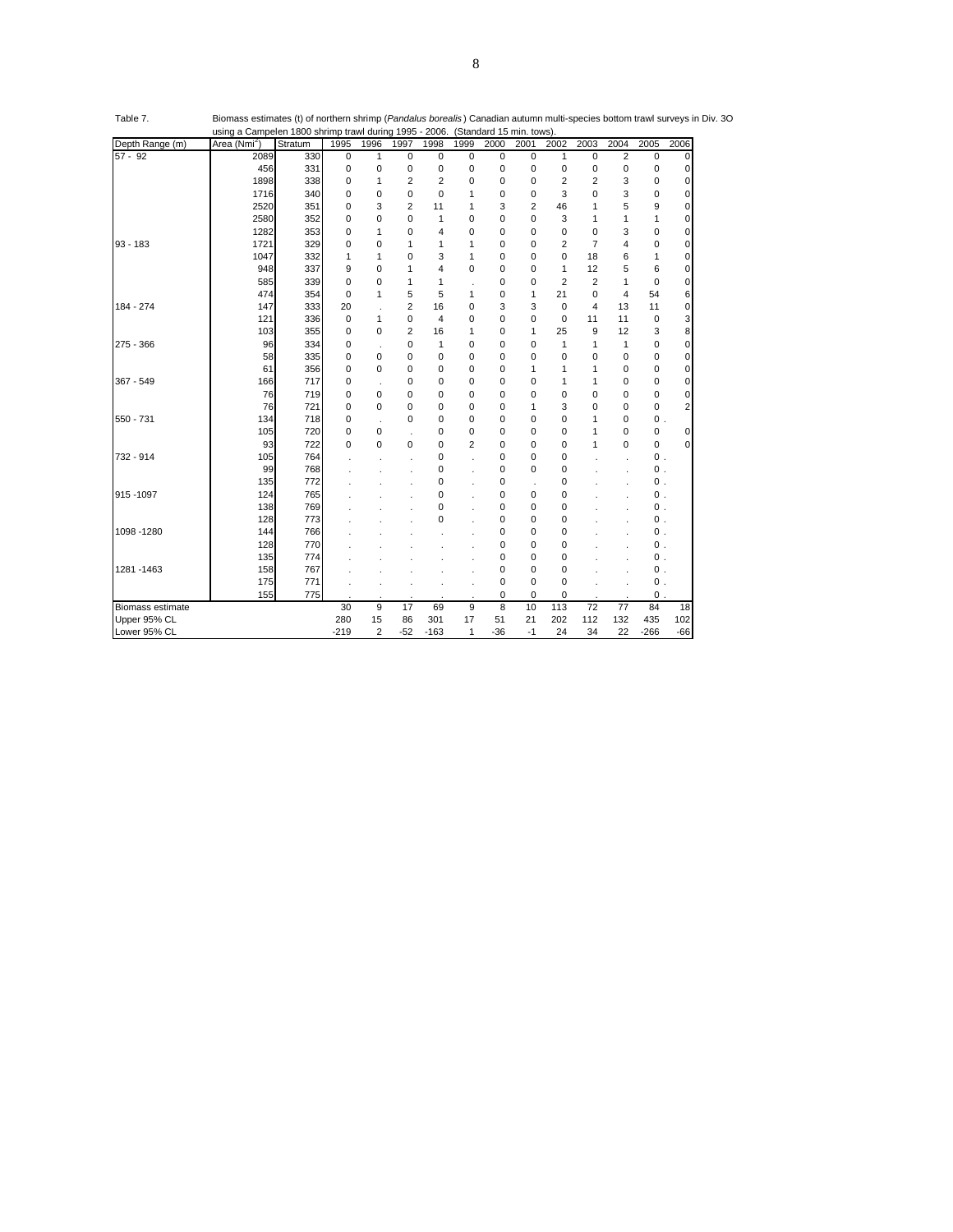|                  | using a Campelen 1800 shrimp trawl during 1995 - 2006. |         |             |             |                |                |                |       | (Standard 15 min. tows) |                |                |                |                |             |
|------------------|--------------------------------------------------------|---------|-------------|-------------|----------------|----------------|----------------|-------|-------------------------|----------------|----------------|----------------|----------------|-------------|
| Depth Range (m)  | Area (Nmi <sup>2</sup> )                               | Stratum | 1995        | 1996        | 1997           | 1998           | 1999           | 2000  | 2001                    | 2002           | 2003           | 2004           | 2005           | 2006        |
| $57 - 92$        | 2089                                                   | 330     | 0           | 1           | 0              | 0              | 0              | 0     | 0                       | $\mathbf{1}$   | $\mathbf 0$    | $\overline{2}$ | $\mathbf 0$    | $\mathbf 0$ |
|                  | 456                                                    | 331     | 0           | 0           | 0              | 0              | 0              | 0     | $\mathbf 0$             | $\mathbf 0$    | 0              | 0              | 0              | $\Omega$    |
|                  | 1898                                                   | 338     | $\mathbf 0$ | 1           | $\overline{2}$ | $\overline{2}$ | 0              | 0     | 0                       | $\overline{2}$ | $\overline{2}$ | 3              | 0              | $\mathbf 0$ |
|                  | 1716                                                   | 340     | $\mathbf 0$ | 0           | 0              | 0              | 1              | 0     | 0                       | 3              | 0              | 3              | 0              | $\mathbf 0$ |
|                  | 2520                                                   | 351     | $\mathbf 0$ | 3           | $\overline{2}$ | 11             | 1              | 3     | $\overline{2}$          | 46             | 1              | 5              | 9              | $\Omega$    |
|                  | 2580                                                   | 352     | 0           | 0           | 0              | 1              | 0              | 0     | 0                       | 3              | 1              | 1              | 1              | 0           |
|                  | 1282                                                   | 353     | 0           | 1           | 0              | 4              | 0              | 0     | 0                       | 0              | 0              | 3              | 0              | $\mathbf 0$ |
| $93 - 183$       | 1721                                                   | 329     | $\mathbf 0$ | 0           | $\mathbf{1}$   | 1              | 1              | 0     | 0                       | $\overline{2}$ | $\overline{7}$ | 4              | 0              | $\mathbf 0$ |
|                  | 1047                                                   | 332     | 1           | 1           | 0              | 3              | 1              | 0     | 0                       | $\mathbf 0$    | 18             | 6              | 1              | 0           |
|                  | 948                                                    | 337     | 9           | 0           | 1              | 4              | 0              | 0     | 0                       | $\mathbf{1}$   | 12             | 5              | 6              | 0           |
|                  | 585                                                    | 339     | 0           | 0           | 1              | 1              | ×              | 0     | 0                       | $\overline{2}$ | $\overline{2}$ | 1              | $\mathbf 0$    | 0           |
|                  | 474                                                    | 354     | 0           | 1           | 5              | 5              | 1              | 0     | 1                       | 21             | 0              | 4              | 54             | 6           |
| 184 - 274        | 147                                                    | 333     | 20          | ×           | $\overline{2}$ | 16             | 0              | 3     | 3                       | $\mathbf 0$    | 4              | 13             | 11             | $\mathbf 0$ |
|                  | 121                                                    | 336     | 0           | 1           | 0              | 4              | 0              | 0     | 0                       | 0              | 11             | 11             | $\mathbf 0$    | 3           |
|                  | 103                                                    | 355     | 0           | 0           | $\overline{2}$ | 16             | 1              | 0     | 1                       | 25             | 9              | 12             | 3              | 8           |
| $275 - 366$      | 96                                                     | 334     | 0           | J.          | 0              | 1              | 0              | 0     | 0                       | 1              | 1              | 1              | 0              | 0           |
|                  | 58                                                     | 335     | 0           | 0           | 0              | 0              | 0              | 0     | 0                       | 0              | 0              | 0              | 0              | 0           |
|                  | 61                                                     | 356     | 0           | 0           | 0              | 0              | 0              | 0     | 1                       | 1              | 1              | 0              | $\mathbf 0$    | 0           |
| 367 - 549        | 166                                                    | 717     | 0           | ×           | 0              | 0              | 0              | 0     | 0                       | $\mathbf{1}$   | $\mathbf{1}$   | 0              | 0              | $\Omega$    |
|                  | 76                                                     | 719     | 0           | 0           | 0              | 0              | 0              | 0     | 0                       | $\mathbf 0$    | 0              | 0              | 0              | 0           |
|                  | 76                                                     | 721     | 0           | 0           | 0              | 0              | 0              | 0     | 1                       | 3              | 0              | 0              | 0              | 2           |
| 550 - 731        | 134                                                    | 718     | 0           | l,          | 0              | 0              | 0              | 0     | 0                       | 0              | 1              | 0              | $0$ .          |             |
|                  | 105                                                    | 720     | 0           | 0           |                | 0              | 0              | 0     | 0                       | 0              | 1              | 0              | 0              | 0           |
|                  | 93                                                     | 722     | $\mathbf 0$ | $\mathbf 0$ | 0              | 0              | $\overline{2}$ | 0     | 0                       | $\mathbf 0$    | 1              | 0              | 0              | $\Omega$    |
| 732 - 914        | 105                                                    | 764     |             |             |                | 0              | ä,             | 0     | 0                       | 0              |                |                | $0\,$ .        |             |
|                  | 99                                                     | 768     |             |             |                | 0              |                | 0     | 0                       | 0              |                |                | $0\,$ .        |             |
|                  | 135                                                    | 772     |             |             |                | 0              | ä,             | 0     | ä,                      | $\mathbf 0$    |                |                | $0\,$ .        |             |
| 915-1097         | 124                                                    | 765     |             |             |                | 0              |                | 0     | 0                       | 0              |                |                | $0\,$ .        |             |
|                  | 138                                                    | 769     |             |             |                | 0              |                | 0     | 0                       | 0              |                |                | $0$ .          |             |
|                  | 128                                                    | 773     |             |             |                | 0              |                | 0     | 0                       | $\mathbf 0$    |                |                | $0\,$ .        |             |
| 1098 - 1280      | 144                                                    | 766     |             |             |                |                |                | 0     | 0                       | $\mathbf 0$    |                |                | $\mathbf{0}$ . |             |
|                  | 128                                                    | 770     |             |             |                |                |                | 0     | 0                       | 0              |                |                | $0\,$ .        |             |
|                  | 135                                                    | 774     |             |             |                |                |                | 0     | 0                       | 0              |                |                | $0\,$ .        |             |
| 1281 - 1463      | 158                                                    | 767     |             |             |                |                |                | 0     | 0                       | 0              |                |                | $0\,$ .        |             |
|                  | 175                                                    | 771     |             |             |                | ×,             | ä,             | 0     | $\mathbf 0$             | 0              |                |                | 0.             |             |
|                  | 155                                                    | 775     |             |             |                |                |                | 0     | 0                       | 0              |                |                | $0$ .          |             |
| Biomass estimate |                                                        |         | 30          | 9           | 17             | 69             | 9              | 8     | 10                      | 113            | 72             | 77             | 84             | 18          |
| Upper 95% CL     |                                                        |         | 280         | 15          | 86             | 301            | 17             | 51    | 21                      | 202            | 112            | 132            | 435            | 102         |
| Lower 95% CL     |                                                        |         | $-219$      | 2           | $-52$          | $-163$         | 1              | $-36$ | $-1$                    | 24             | 34             | 22             | $-266$         | $-66$       |

Table 7. Biomass estimates (t) of northern shrimp (*Pandalus borealis* ) Canadian autumn multi-species bottom trawl surveys in Div. 3O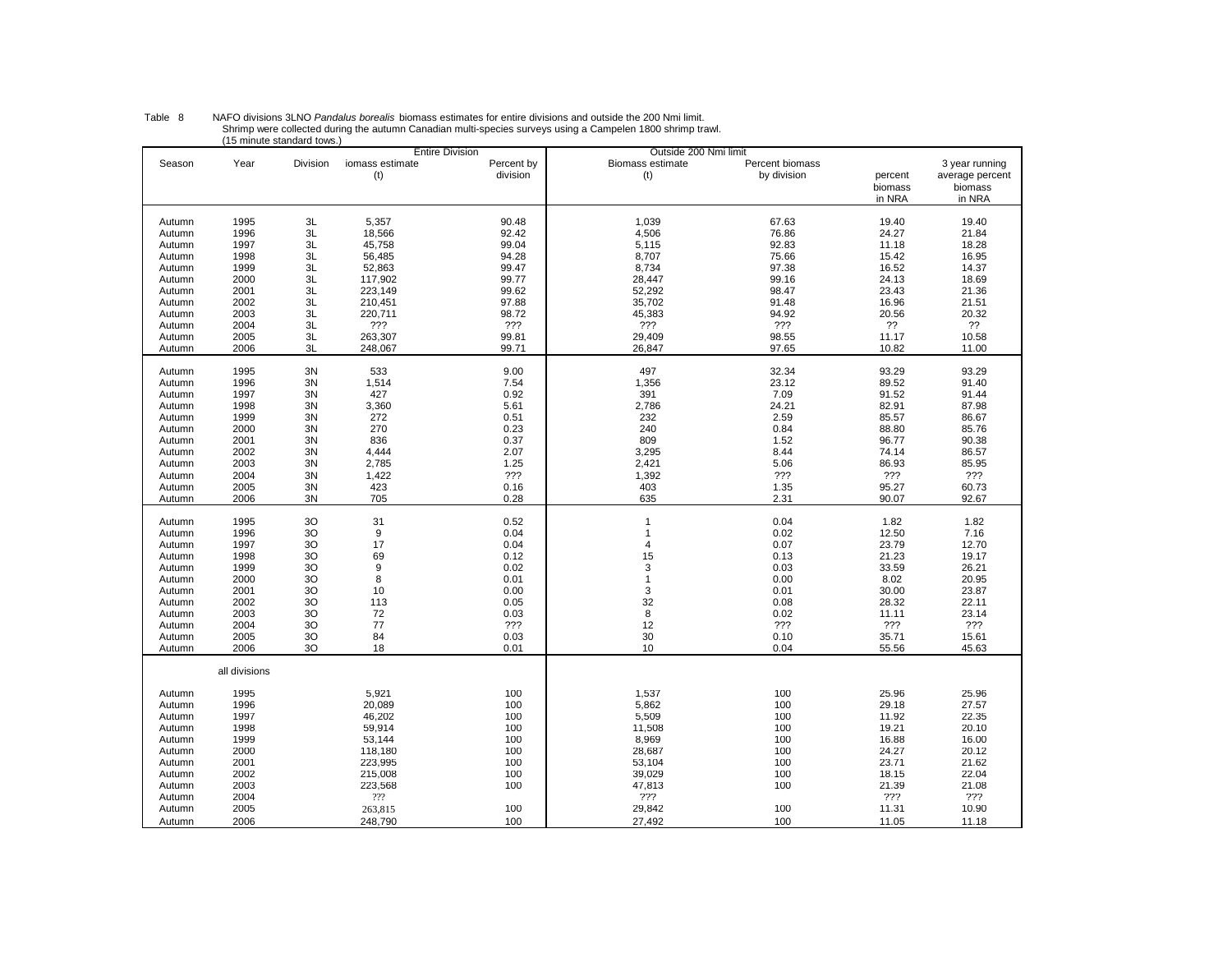|                  |               | TU MINUTE STANDARD TUWS. |                        | <b>Entire Division</b> | Outside 200 Nmi limit          |                                |                              |                                              |
|------------------|---------------|--------------------------|------------------------|------------------------|--------------------------------|--------------------------------|------------------------------|----------------------------------------------|
| Season           | Year          | Division                 | iomass estimate<br>(t) | Percent by<br>division | <b>Biomass estimate</b><br>(t) | Percent biomass<br>by division | percent<br>biomass<br>in NRA | 3 year running<br>average percent<br>biomass |
|                  |               |                          |                        |                        |                                |                                |                              | in NRA                                       |
| Autumn           | 1995          | 3L                       | 5,357                  | 90.48                  | 1,039                          | 67.63                          | 19.40                        | 19.40                                        |
| Autumn           | 1996          | 3L                       | 18,566                 | 92.42                  | 4,506                          | 76.86                          | 24.27                        | 21.84                                        |
| Autumn           | 1997          | 3L                       | 45,758                 | 99.04                  | 5,115                          | 92.83                          | 11.18                        | 18.28                                        |
| Autumn           | 1998          | 3L                       | 56,485                 | 94.28                  | 8,707                          | 75.66                          | 15.42                        | 16.95                                        |
| Autumn           | 1999          | 3L                       | 52,863                 | 99.47                  | 8,734                          | 97.38                          | 16.52                        | 14.37                                        |
| Autumn           | 2000          | 3L                       | 117,902                | 99.77                  | 28,447                         | 99.16                          | 24.13                        | 18.69                                        |
| Autumn           | 2001          | 3L                       | 223,149                | 99.62                  | 52,292                         | 98.47                          | 23.43                        | 21.36                                        |
| Autumn           | 2002          | 3L                       | 210,451                | 97.88                  | 35,702                         | 91.48                          | 16.96                        | 21.51                                        |
| Autumn           | 2003          | 3L                       | 220,711                | 98.72                  | 45,383                         | 94.92                          | 20.56                        | 20.32                                        |
| Autumn           | 2004          | 3L                       | ???                    | ???                    | ???                            | ???                            | ??                           | ??                                           |
| Autumn           | 2005          | 3L                       | 263,307                | 99.81                  | 29,409                         | 98.55                          | 11.17                        | 10.58                                        |
| Autumn           | 2006          | 3L                       | 248.067                | 99.71                  | 26.847                         | 97.65                          | 10.82                        | 11.00                                        |
|                  |               |                          |                        |                        |                                |                                |                              |                                              |
| Autumn           | 1995          | 3N                       | 533                    | 9.00                   | 497                            | 32.34                          | 93.29                        | 93.29                                        |
| Autumn           | 1996          | 3N                       | 1,514                  | 7.54                   | 1,356                          | 23.12                          | 89.52                        | 91.40                                        |
| Autumn           | 1997          | 3N                       | 427                    | 0.92                   | 391                            | 7.09                           | 91.52                        | 91.44                                        |
| Autumn           | 1998          | 3N                       | 3,360                  | 5.61                   | 2,786                          | 24.21                          | 82.91                        | 87.98                                        |
| Autumn           | 1999          | 3N                       | 272                    | 0.51                   | 232                            | 2.59                           | 85.57                        | 86.67                                        |
| Autumn           | 2000          | 3N                       | 270                    | 0.23                   | 240                            | 0.84                           | 88.80                        | 85.76                                        |
| Autumn           | 2001          | 3N                       | 836                    | 0.37                   | 809                            | 1.52                           | 96.77                        | 90.38                                        |
| Autumn           | 2002          | 3N                       | 4,444                  | 2.07                   | 3,295                          | 8.44                           | 74.14                        | 86.57                                        |
| Autumn           | 2003          | 3N                       | 2,785                  | 1.25                   | 2,421                          | 5.06                           | 86.93                        | 85.95                                        |
| Autumn           | 2004          | 3N                       | 1,422                  | ???                    | 1,392                          | ???                            | ???                          | ???                                          |
| Autumn           | 2005          | 3N                       | 423                    | 0.16                   | 403                            | 1.35                           | 95.27                        | 60.73                                        |
| Autumn           | 2006          | 3N                       | 705                    | 0.28                   | 635                            | 2.31                           | 90.07                        | 92.67                                        |
|                  |               |                          |                        |                        |                                |                                |                              |                                              |
| Autumn           | 1995          | 3O                       | 31                     | 0.52                   | $\mathbf{1}$                   | 0.04                           | 1.82                         | 1.82                                         |
| Autumn           | 1996          | 30                       | 9                      | 0.04                   | $\mathbf{1}$                   | 0.02                           | 12.50                        | 7.16                                         |
| Autumn           | 1997          | 30                       | 17                     | 0.04                   | $\overline{4}$                 | 0.07                           | 23.79                        | 12.70                                        |
| Autumn           | 1998          | 30                       | 69                     | 0.12                   | 15                             | 0.13                           | 21.23                        | 19.17                                        |
| Autumn           | 1999          | 30                       | 9                      | 0.02                   | 3                              | 0.03                           | 33.59                        | 26.21                                        |
| Autumn           | 2000          | 3O                       | 8                      | 0.01                   | $\mathbf{1}$                   | 0.00                           | 8.02                         | 20.95                                        |
| Autumn           | 2001          | 30                       | 10                     | 0.00                   | $\mathsf 3$                    | 0.01                           | 30.00                        | 23.87                                        |
| Autumn           | 2002          | 30                       | 113                    | 0.05                   | 32                             | 0.08                           | 28.32                        | 22.11                                        |
| Autumn           | 2003          | 30                       | 72                     | 0.03                   | 8                              | 0.02                           | 11.11                        | 23.14                                        |
| Autumn           | 2004          | 30                       | 77                     | ???                    | 12                             | ???                            | ???                          | ???                                          |
| Autumn<br>Autumn | 2005<br>2006  | 3O<br>30                 | 84<br>18               | 0.03<br>0.01           | 30<br>10                       | 0.10<br>0.04                   | 35.71<br>55.56               | 15.61<br>45.63                               |
|                  |               |                          |                        |                        |                                |                                |                              |                                              |
|                  | all divisions |                          |                        |                        |                                |                                |                              |                                              |
| Autumn           | 1995          |                          | 5,921                  | 100                    | 1,537                          | 100                            | 25.96                        | 25.96                                        |
| Autumn           | 1996          |                          | 20,089                 | 100                    | 5,862                          | 100                            | 29.18                        | 27.57                                        |
| Autumn           | 1997          |                          | 46,202                 | 100                    | 5,509                          | 100                            | 11.92                        | 22.35                                        |
| Autumn           | 1998          |                          | 59,914                 | 100                    | 11,508                         | 100                            | 19.21                        | 20.10                                        |
| Autumn           | 1999          |                          | 53,144                 | 100                    | 8,969                          | 100                            | 16.88                        | 16.00                                        |
| Autumn           | 2000          |                          | 118,180                | 100                    | 28,687                         | 100                            | 24.27                        | 20.12                                        |
| Autumn           | 2001          |                          | 223,995                | 100                    | 53,104                         | 100                            | 23.71                        | 21.62                                        |
| Autumn           | 2002          |                          | 215,008                | 100                    | 39,029                         | 100                            | 18.15                        | 22.04                                        |
| Autumn           | 2003          |                          | 223,568                | 100                    | 47,813                         | 100                            | 21.39                        | 21.08                                        |
| Autumn           | 2004          |                          | ???                    |                        | ???                            |                                | ???                          | ???                                          |
| Autumn           | 2005          |                          | 263,815                | 100                    | 29,842                         | 100                            | 11.31                        | 10.90                                        |
| Autumn           | 2006          |                          | 248,790                | 100                    | 27,492                         | 100                            | 11.05                        | 11.18                                        |

Table 8 NAFO divisions 3LNO *Pandalus borealis* biomass estimates for entire divisions and outside the 200 Nmi limit.<br>Shrimp were collected during the autumn Canadian multi-species surveys using a Campelen 1800 shrimp traw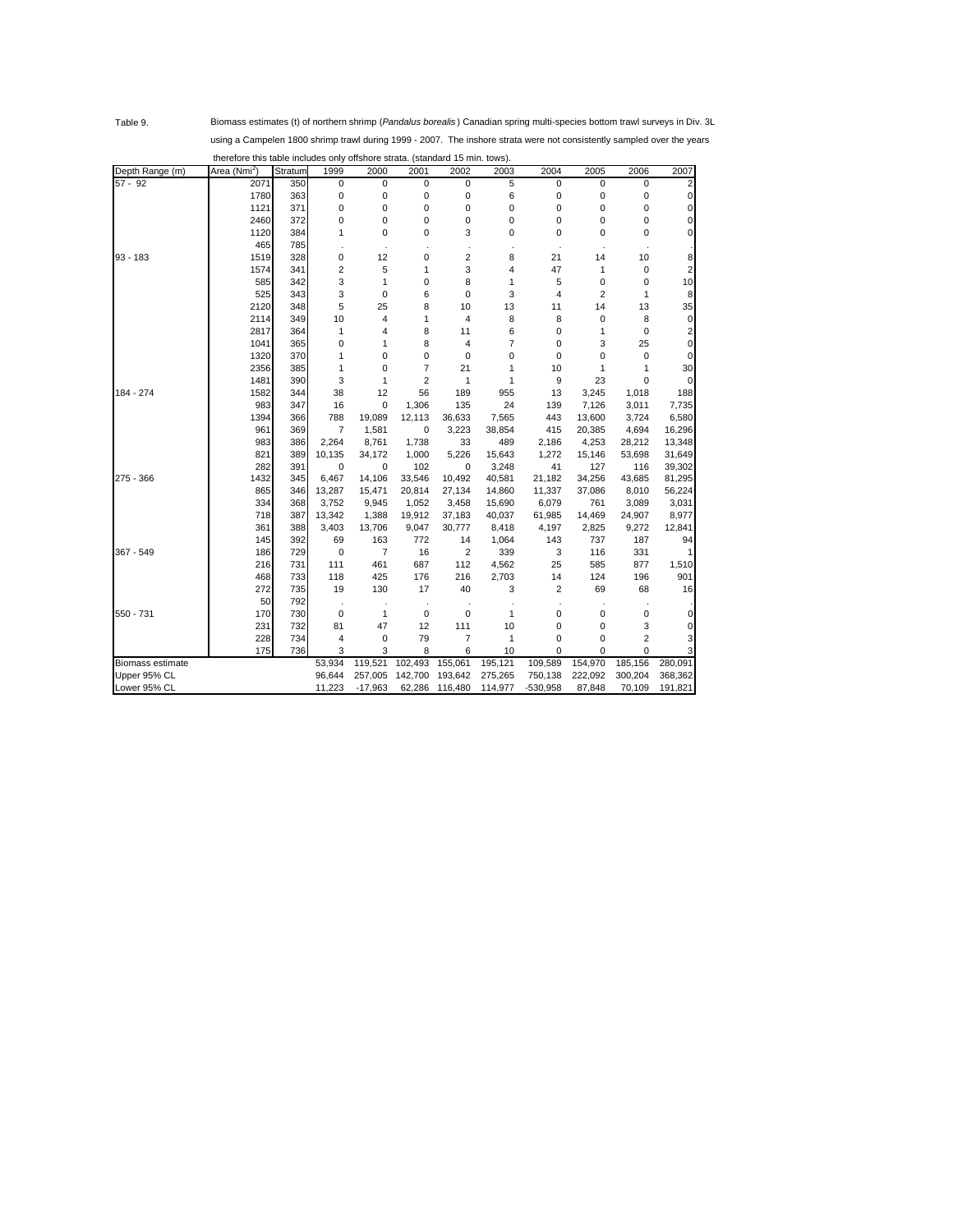Table 9. Biomass estimates (t) of northern shrimp (*Pandalus borealis* ) Canadian spring multi-species bottom trawl surveys in Div. 3L using a Campelen 1800 shrimp trawl during 1999 - 2007. The inshore strata were not consistently sampled over the years therefore this table includes only offshore strata. (standard 15 min. tows).

| Depth Range (m)         | Area (Nmi <sup>2</sup> ) | Stratum | 1999   | 2000      | 2001           | 2002           | 2003    | 2004       | 2005           | 2006           | 2007     |
|-------------------------|--------------------------|---------|--------|-----------|----------------|----------------|---------|------------|----------------|----------------|----------|
| $57 - 92$               | 2071                     | 350     | 0      | 0         | 0              | 0              | 5       | 0          | 0              | 0              |          |
|                         | 1780                     | 363     | 0      | 0         | 0              | 0              | 6       | 0          | 0              | 0              | $\Omega$ |
|                         | 1121                     | 371     | 0      | 0         | 0              | 0              | 0       | 0          | 0              | 0              | $\Omega$ |
|                         | 2460                     | 372     | 0      | 0         | 0              | 0              | 0       | 0          | 0              | 0              | $\Omega$ |
|                         | 1120                     | 384     | 1      | 0         | 0              | 3              | 0       | 0          | 0              | 0              | $\Omega$ |
|                         | 465                      | 785     |        |           |                |                |         |            |                |                |          |
| 93 - 183                | 1519                     | 328     | 0      | 12        | 0              | $\overline{2}$ | 8       | 21         | 14             | 10             | 8        |
|                         | 1574                     | 341     | 2      | 5         | $\mathbf{1}$   | 3              | 4       | 47         | 1              | 0              | 2        |
|                         | 585                      | 342     | 3      | 1         | 0              | 8              | 1       | 5          | 0              | 0              | 10       |
|                         | 525                      | 343     | 3      | 0         | 6              | $\mathbf 0$    | 3       | 4          | $\overline{2}$ | 1              | 8        |
|                         | 2120                     | 348     | 5      | 25        | 8              | 10             | 13      | 11         | 14             | 13             | 35       |
|                         | 2114                     | 349     | 10     | 4         | 1              | 4              | 8       | 8          | 0              | 8              | $\Omega$ |
|                         | 2817                     | 364     | 1      | 4         | 8              | 11             | 6       | 0          | 1              | 0              | 2        |
|                         | 1041                     | 365     | 0      | 1         | 8              | 4              | 7       | 0          | 3              | 25             | 0        |
|                         | 1320                     | 370     | 1      | 0         | 0              | $\mathbf 0$    | 0       | 0          | 0              | 0              | 0        |
|                         | 2356                     | 385     | 1      | 0         | 7              | 21             | 1       | 10         | 1              | 1              | 30       |
|                         | 1481                     | 390     | 3      | 1         | $\overline{2}$ | 1              | 1       | 9          | 23             | 0              | $\Omega$ |
| 184 - 274               | 1582                     | 344     | 38     | 12        | 56             | 189            | 955     | 13         | 3,245          | 1,018          | 188      |
|                         | 983                      | 347     | 16     | 0         | 1,306          | 135            | 24      | 139        | 7,126          | 3,011          | 7,735    |
|                         | 1394                     | 366     | 788    | 19,089    | 12,113         | 36,633         | 7,565   | 443        | 13,600         | 3,724          | 6,580    |
|                         | 961                      | 369     | 7      | 1,581     | 0              | 3,223          | 38,854  | 415        | 20,385         | 4,694          | 16,296   |
|                         | 983                      | 386     | 2,264  | 8,761     | 1,738          | 33             | 489     | 2,186      | 4,253          | 28,212         | 13,348   |
|                         | 821                      | 389     | 10,135 | 34,172    | 1,000          | 5,226          | 15,643  | 1,272      | 15,146         | 53,698         | 31,649   |
|                         | 282                      | 391     | 0      | 0         | 102            | 0              | 3,248   | 41         | 127            | 116            | 39,302   |
| 275 - 366               | 1432                     | 345     | 6,467  | 14,106    | 33,546         | 10,492         | 40,581  | 21,182     | 34,256         | 43,685         | 81,295   |
|                         | 865                      | 346     | 13,287 | 15,471    | 20,814         | 27,134         | 14,860  | 11,337     | 37,086         | 8,010          | 56,224   |
|                         | 334                      | 368     | 3,752  | 9,945     | 1,052          | 3,458          | 15,690  | 6,079      | 761            | 3,089          | 3,031    |
|                         | 718                      | 387     | 13,342 | 1,388     | 19,912         | 37,183         | 40,037  | 61,985     | 14,469         | 24,907         | 8,977    |
|                         | 361                      | 388     | 3,403  | 13,706    | 9,047          | 30,777         | 8,418   | 4,197      | 2,825          | 9,272          | 12,841   |
|                         | 145                      | 392     | 69     | 163       | 772            | 14             | 1,064   | 143        | 737            | 187            | 94       |
| 367 - 549               | 186                      | 729     | 0      | 7         | 16             | $\overline{2}$ | 339     | 3          | 116            | 331            |          |
|                         | 216                      | 731     | 111    | 461       | 687            | 112            | 4,562   | 25         | 585            | 877            | 1,510    |
|                         | 468                      | 733     | 118    | 425       | 176            | 216            | 2,703   | 14         | 124            | 196            | 901      |
|                         | 272                      | 735     | 19     | 130       | 17             | 40             | 3       | 2          | 69             | 68             | 16       |
|                         | 50                       | 792     |        |           |                |                |         |            |                |                |          |
| 550 - 731               | 170                      | 730     | 0      | 1         | $\mathbf 0$    | 0              | 1       | 0          | 0              | 0              | 0        |
|                         | 231                      | 732     | 81     | 47        | 12             | 111            | 10      | 0          | 0              | 3              | $\Omega$ |
|                         | 228                      | 734     | 4      | 0         | 79             | $\overline{7}$ | 1       | 0          | 0              | $\overline{2}$ | 3        |
|                         | 175                      | 736     | 3      | 3         | 8              | 6              | 10      | 0          | 0              | $\mathbf 0$    |          |
| <b>Biomass estimate</b> |                          |         | 53,934 | 119,521   | 102,493        | 155,061        | 195,121 | 109,589    | 154,970        | 185,156        | 280,091  |
| Upper 95% CL            |                          |         | 96,644 | 257,005   | 142,700        | 193,642        | 275,265 | 750,138    | 222,092        | 300,204        | 368,362  |
| Lower 95% CL            |                          |         | 11,223 | $-17,963$ | 62,286         | 116,480        | 114,977 | $-530,958$ | 87,848         | 70,109         | 191,821  |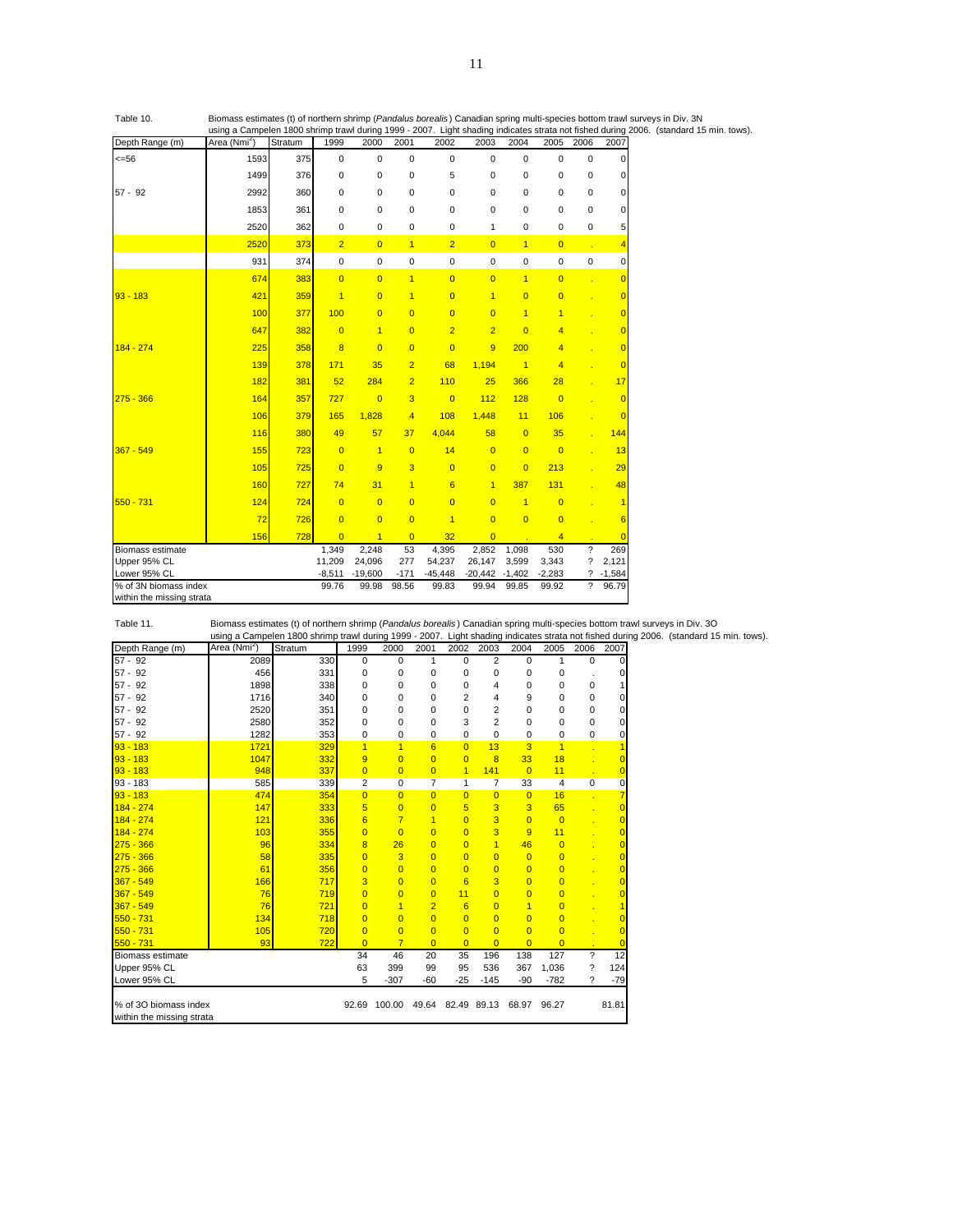Table 10. Biomass estimates (t) of northern shrimp (*Pandalus borealis* ) Canadian spring multi-species bottom trawl surveys in Div. 3N using a Campelen 1800 shrimp trawl during 1999 - 2007. Light shading indicates strata not fished during 2006. (standard 15 min. tows).

| Depth Range (m)           | Area (Nmi <sup>2</sup> ) | Stratum | 1999           | 2000           | 2001           | 2002           | 2003           | 2004           | 2005           | 2006        | 2007           |
|---------------------------|--------------------------|---------|----------------|----------------|----------------|----------------|----------------|----------------|----------------|-------------|----------------|
| $<=56$                    | 1593                     | 375     | 0              | $\mathbf 0$    | 0              | $\Omega$       | 0              | $\mathbf 0$    | $\mathbf 0$    | $\mathbf 0$ | $\Omega$       |
|                           | 1499                     | 376     | 0              | $\mathbf 0$    | $\mathbf 0$    | 5              | 0              | $\mathbf 0$    | 0              | 0           | $\Omega$       |
| $57 - 92$                 | 2992                     | 360     | 0              | 0              | 0              | 0              | 0              | 0              | 0              | $\mathbf 0$ | $\overline{0}$ |
|                           | 1853                     | 361     | 0              | $\Omega$       | $\Omega$       | $\Omega$       | $\Omega$       | $\Omega$       | $\Omega$       | $\Omega$    | 0              |
|                           | 2520                     | 362     | 0              | 0              | 0              | $\mathbf 0$    | 1              | 0              | 0              | 0           | 5              |
|                           | 2520                     | 373     | $\overline{2}$ | $\overline{0}$ | $\overline{1}$ | $\overline{2}$ | $\overline{0}$ | $\overline{1}$ | $\overline{0}$ | ÷.          | 4              |
|                           | 931                      | 374     | 0              | 0              | 0              | $\pmb{0}$      | 0              | 0              | 0              | 0           | $\overline{0}$ |
|                           | 674                      | 383     | $\overline{0}$ | $\overline{0}$ | $\overline{1}$ | $\overline{0}$ | $\overline{0}$ | $\overline{1}$ | $\overline{0}$ |             | $\overline{0}$ |
| $93 - 183$                | 421                      | 359     | $\overline{1}$ | $\overline{0}$ | $\overline{1}$ | $\overline{0}$ | $\overline{1}$ | $\overline{0}$ | $\overline{0}$ |             | $\overline{0}$ |
|                           | 100                      | 377     | 100            | $\overline{0}$ | $\Omega$       | $\overline{0}$ | $\Omega$       | $\overline{1}$ | $\overline{1}$ | ÷           | $\overline{0}$ |
|                           | 647                      | 382     | $\overline{0}$ | $\overline{1}$ | $\overline{0}$ | $\overline{2}$ | $\overline{2}$ | $\overline{0}$ | 4              |             | $\overline{0}$ |
| $184 - 274$               | 225                      | 358     | 8              | $\overline{0}$ | $\overline{0}$ | $\overline{0}$ | 9              | 200            | 4              |             | $\overline{0}$ |
|                           | 139                      | 378     | 171            | 35             | $\overline{2}$ | 68             | 1,194          | $\overline{1}$ | 4              |             | $\overline{0}$ |
|                           | 182                      | 381     | 52             | 284            | $\overline{2}$ | 110            | 25             | 366            | 28             |             | 17             |
| $275 - 366$               | 164                      | 357     | 727            | $\overline{0}$ | 3              | $\overline{0}$ | 112            | 128            | $\overline{0}$ |             | $\overline{0}$ |
|                           | 106                      | 379     | 165            | 1,828          | $\overline{4}$ | 108            | 1,448          | 11             | 106            |             | $\overline{0}$ |
|                           | 116                      | 380     | 49             | 57             | 37             | 4.044          | 58             | $\overline{0}$ | 35             |             | 144            |
| $367 - 549$               | 155                      | 723     | $\overline{0}$ | $\overline{1}$ | $\overline{0}$ | 14             | $\overline{0}$ | $\overline{0}$ | $\overline{0}$ |             | 13             |
|                           | 105                      | 725     | $\overline{0}$ | 9              | 3              | $\overline{0}$ | $\overline{0}$ | $\overline{0}$ | 213            |             | 29             |
|                           | 160                      | 727     | 74             | 31             | $\overline{1}$ | 6              | $\overline{1}$ | 387            | 131            |             | 48             |
| 550 - 731                 | 124                      | 724     | $\overline{0}$ | $\overline{0}$ | $\overline{0}$ | $\overline{0}$ | $\overline{0}$ | $\overline{1}$ | $\overline{0}$ | l,          | $\overline{1}$ |
|                           | 72                       | 726     | $\Omega$       | $\overline{0}$ | $\overline{0}$ | $\overline{1}$ | $\Omega$       | $\overline{0}$ | $\overline{0}$ |             | 6              |
|                           | 156                      | 728     | $\overline{0}$ | $\overline{1}$ | $\overline{0}$ | 32             | $\overline{0}$ |                | $\overline{4}$ |             | $\Omega$       |
| Biomass estimate          |                          |         | 1,349          | 2,248          | 53             | 4,395          | 2,852          | 1,098          | 530            | ?           | 269            |
| Upper 95% CL              |                          |         | 11,209         | 24,096         | 277            | 54,237         | 26,147         | 3,599          | 3,343          | ?           | 2,121          |
| Lower 95% CL              |                          |         | $-8,511$       | $-19,600$      | $-171$         | $-45,448$      | $-20,442$      | $-1,402$       | $-2,283$       |             | $? -1,584$     |
| % of 3N biomass index     |                          |         | 99.76          | 99.98          | 98.56          | 99.83          | 99.94          | 99.85          | 99.92          | ?           | 96.79          |
| within the missing strata |                          |         |                |                |                |                |                |                |                |             |                |

Table 11. Biomass estimates (t) of northern shrimp (*Pandalus borealis* ) Canadian spring multi-species bottom trawl surveys in Div. 3O using a Campelen 1800 shrimp trawl during 1999 - 2007. Light shading indicates strata not fished during 2006. (standard 15 min. tows).<br>Area (Nmi<sup>2</sup>) Stratum 1999 - 2000 - 2001 - 2002 - 2003 - 2004 - 2005 - 2006 - 2007 Depth Range (m) ) Stratum 1999 2000 2001 2002 2003 2004 2005 2006 2007 57 - 92 2089 330 0 0 1 0 2 0 1 0 0 57 - 92 456 331 0 0 0 0 0 0 0 . 0 57 - 92 1898 338 0 0 0 0 4 0 0 0 1 57 - 92 1716 340 0 0 0 2 4 9 0 0 0 57 - 92 2520 351 0 0 0 0 2 0 0 0 0 57 - 92 2580 352 0 0 0 3 2 0 0 0 0 57 - 92 1282 353 0 0 0 0 0 0 0 0 0 93 - 183 1721 329 1 1 6 0 13 3 1 . 1 93 - 183 1047 332 9 0 0 0 8 33 18 . 0 93 - 183 948 337 0 0 0 1 141 0 11 . 0 93 - 183 585 339 2 0 7 1 7 33 4 0 0 93 - 183 474 354 0 0 0 0 0 0 16 . 7 184 - 274 147 333 5 0 0 5 3 3 65 . 0 184 - 274 121 336 6 7 1 0 3 0 0 . 0 184 - 274 103 355 0 0 0 0 3 9 11 . 0 275 - 366 96 334 8 26 0 0 1 46 0 . 0 275 - 366 <mark>|</mark> 58 | 335 <mark>| 0 3 0 0 0 0 0 0</mark> 275 - 366 <mark>|</mark> 61 | 356 | 0 0 0 0 0 0 0 . 0 367 - 549 166 717 3 0 0 6 3 0 0 . 0 367 - 549 76 719 0 0 0 11 0 0 0 . 0 367 - 549 76 721 0 1 2 6 0 1 0 . 1 550 - 731 134 718 0 0 0 0 0 0 0 . 0 550 - 731 105 720 0 0 0 0 0 0 0 . 0 550 - 731 93 722 0 7 0 0 0 0 0 . 0 Biomass estimate 34 46 20 35 196 138 127 ? 12 Upper 95% CL 63 399 99 95 536 367 1,036 ? 124 Lower 95% CL 5 -307 -60 -25 -145 -90 -782 ? -79 % of 3O biomass index 1.81

within the missing strata

11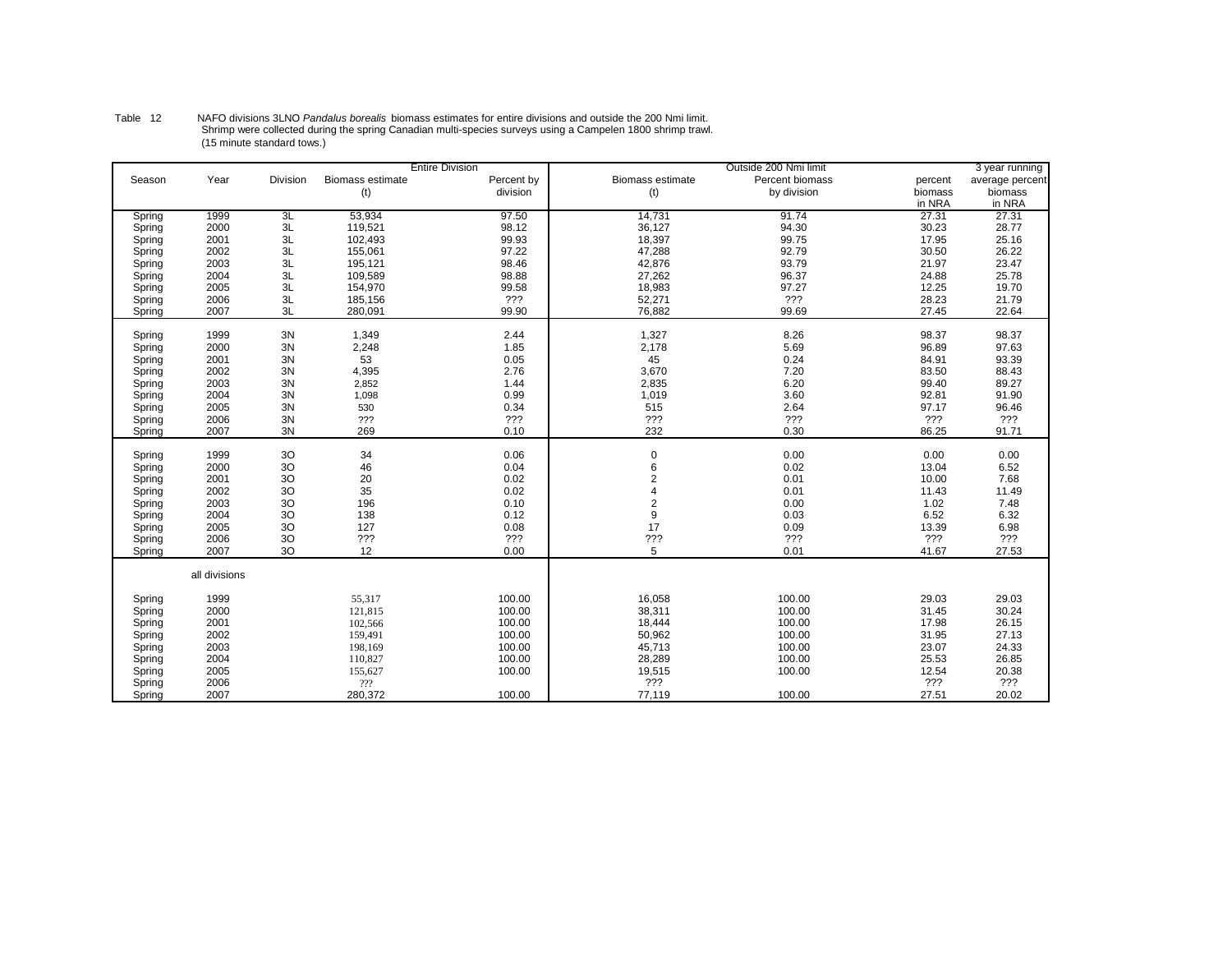|        |               |          |                         | <b>Entire Division</b> |                  | Outside 200 Nmi limit |         | 3 year running  |
|--------|---------------|----------|-------------------------|------------------------|------------------|-----------------------|---------|-----------------|
| Season | Year          | Division | <b>Biomass estimate</b> | Percent by             | Biomass estimate | Percent biomass       | percent | average percent |
|        |               |          | (t)                     | division               | (t)              | by division           | biomass | biomass         |
|        |               |          |                         |                        |                  |                       | in NRA  | in NRA          |
| Spring | 1999          | 3L       | 53,934                  | 97.50                  | 14,731           | 91.74                 | 27.31   | 27.31           |
| Spring | 2000          | 3L       | 119,521                 | 98.12                  | 36,127           | 94.30                 | 30.23   | 28.77           |
| Spring | 2001          | 3L       | 102,493                 | 99.93                  | 18,397           | 99.75                 | 17.95   | 25.16           |
| Spring | 2002          | 3L       | 155,061                 | 97.22                  | 47,288           | 92.79                 | 30.50   | 26.22           |
| Spring | 2003          | 3L       | 195,121                 | 98.46                  | 42,876           | 93.79                 | 21.97   | 23.47           |
| Spring | 2004          | 3L       | 109,589                 | 98.88                  | 27,262           | 96.37                 | 24.88   | 25.78           |
| Spring | 2005          | 3L       | 154,970                 | 99.58                  | 18,983           | 97.27                 | 12.25   | 19.70           |
| Spring | 2006          | 3L       | 185,156                 | ???                    | 52,271           | ???                   | 28.23   | 21.79           |
| Spring | 2007          | 3L       | 280,091                 | 99.90                  | 76,882           | 99.69                 | 27.45   | 22.64           |
|        |               |          |                         |                        |                  |                       |         |                 |
| Spring | 1999          | 3N       | 1,349                   | 2.44                   | 1,327            | 8.26                  | 98.37   | 98.37           |
| Spring | 2000          | 3N       | 2,248                   | 1.85                   | 2,178            | 5.69                  | 96.89   | 97.63           |
| Spring | 2001          | 3N       | 53                      | 0.05                   | 45               | 0.24                  | 84.91   | 93.39           |
| Spring | 2002          | 3N       | 4,395                   | 2.76                   | 3,670            | 7.20                  | 83.50   | 88.43           |
| Spring | 2003          | 3N       | 2,852                   | 1.44                   | 2,835            | 6.20                  | 99.40   | 89.27           |
| Spring | 2004          | 3N       | 1,098                   | 0.99                   | 1,019            | 3.60                  | 92.81   | 91.90           |
| Spring | 2005          | 3N       | 530                     | 0.34                   | 515              | 2.64                  | 97.17   | 96.46           |
| Spring | 2006          | 3N       | ???                     | ???                    | ???              | ???                   | 222     | 222             |
| Spring | 2007          | 3N       | 269                     | 0.10                   | 232              | 0.30                  | 86.25   | 91.71           |
| Spring | 1999          | 30       | 34                      | 0.06                   | $\mathbf 0$      | 0.00                  | 0.00    | 0.00            |
| Spring | 2000          | 3O       | 46                      | 0.04                   | 6                | 0.02                  | 13.04   | 6.52            |
| Spring | 2001          | 3O       | 20                      | 0.02                   | $\overline{2}$   | 0.01                  | 10.00   | 7.68            |
| Spring | 2002          | 3O       | 35                      | 0.02                   |                  | 0.01                  | 11.43   | 11.49           |
| Spring | 2003          | 3O       | 196                     | 0.10                   | $\overline{2}$   | 0.00                  | 1.02    | 7.48            |
| Spring | 2004          | 3O       | 138                     | 0.12                   | 9                | 0.03                  | 6.52    | 6.32            |
| Spring | 2005          | 3O       | 127                     | 0.08                   | 17               | 0.09                  | 13.39   | 6.98            |
| Spring | 2006          | 3O       | ???                     | ???                    | ???              | ???                   | ???     | ???             |
| Spring | 2007          | 30       | 12                      | 0.00                   | 5                | 0.01                  | 41.67   | 27.53           |
|        |               |          |                         |                        |                  |                       |         |                 |
|        | all divisions |          |                         |                        |                  |                       |         |                 |
| Spring | 1999          |          | 55,317                  | 100.00                 | 16,058           | 100.00                | 29.03   | 29.03           |
| Spring | 2000          |          | 121,815                 | 100.00                 | 38,311           | 100.00                | 31.45   | 30.24           |
| Spring | 2001          |          | 102,566                 | 100.00                 | 18,444           | 100.00                | 17.98   | 26.15           |
| Spring | 2002          |          | 159,491                 | 100.00                 | 50,962           | 100.00                | 31.95   | 27.13           |
| Spring | 2003          |          | 198,169                 | 100.00                 | 45,713           | 100.00                | 23.07   | 24.33           |
| Spring | 2004          |          | 110,827                 | 100.00                 | 28,289           | 100.00                | 25.53   | 26.85           |
| Spring | 2005          |          | 155,627                 | 100.00                 | 19,515           | 100.00                | 12.54   | 20.38           |
| Spring | 2006          |          | ???                     |                        | ???              |                       | ???     | ???             |
| Spring | 2007          |          | 280,372                 | 100.00                 | 77,119           | 100.00                | 27.51   | 20.02           |
|        |               |          |                         |                        |                  |                       |         |                 |

.Table 12 MAFO divisions 3LNO *Pandalus borealis* biomass estimates for entire divisions and outside the 200 Nmi limit<br>Shrimp were collected during the spring Canadian multi-species surveys using a Campelen 1800 shrimp tra (15 minute standard tows.)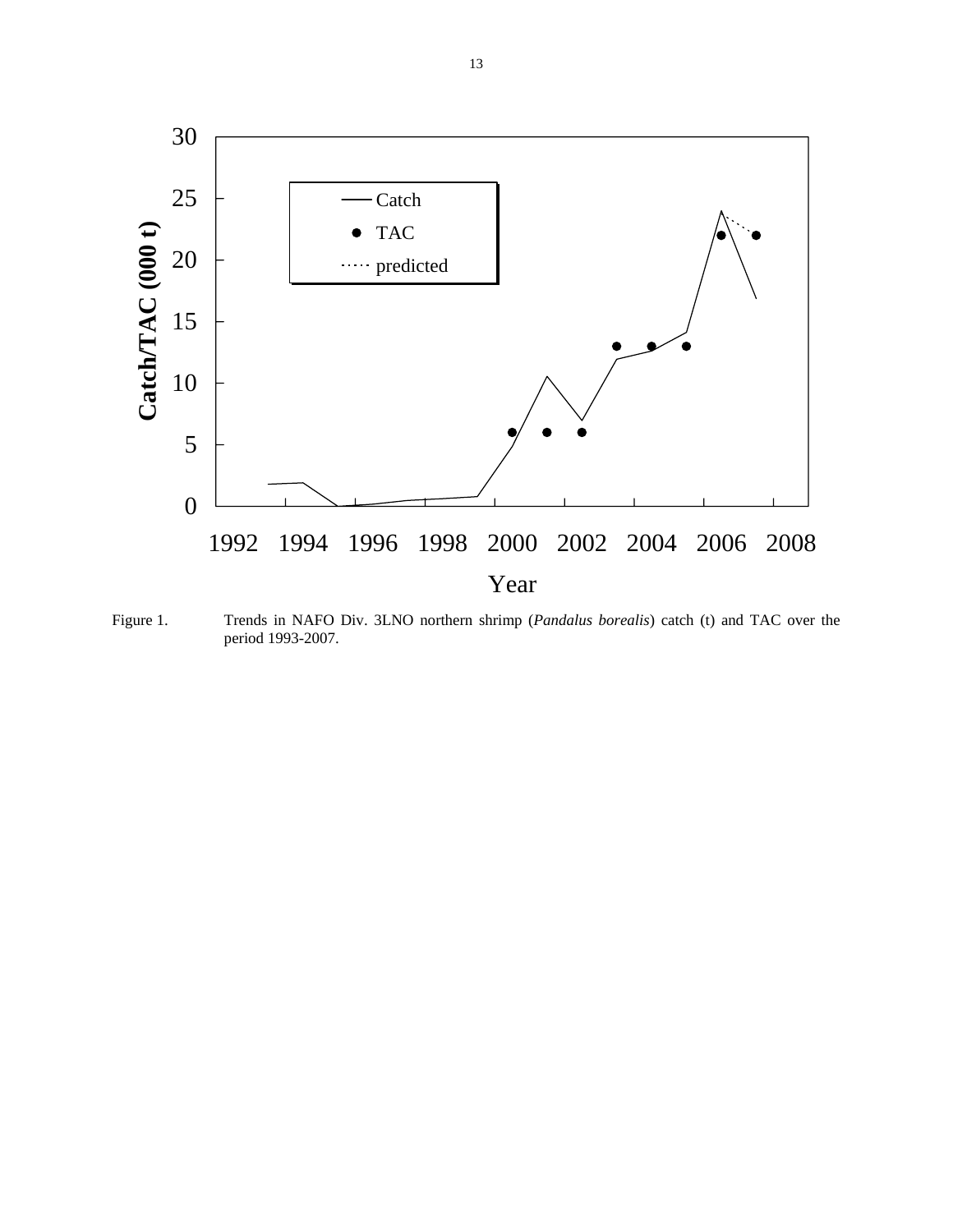

Figure 1. Trends in NAFO Div. 3LNO northern shrimp (*Pandalus borealis*) catch (t) and TAC over the period 1993-2007.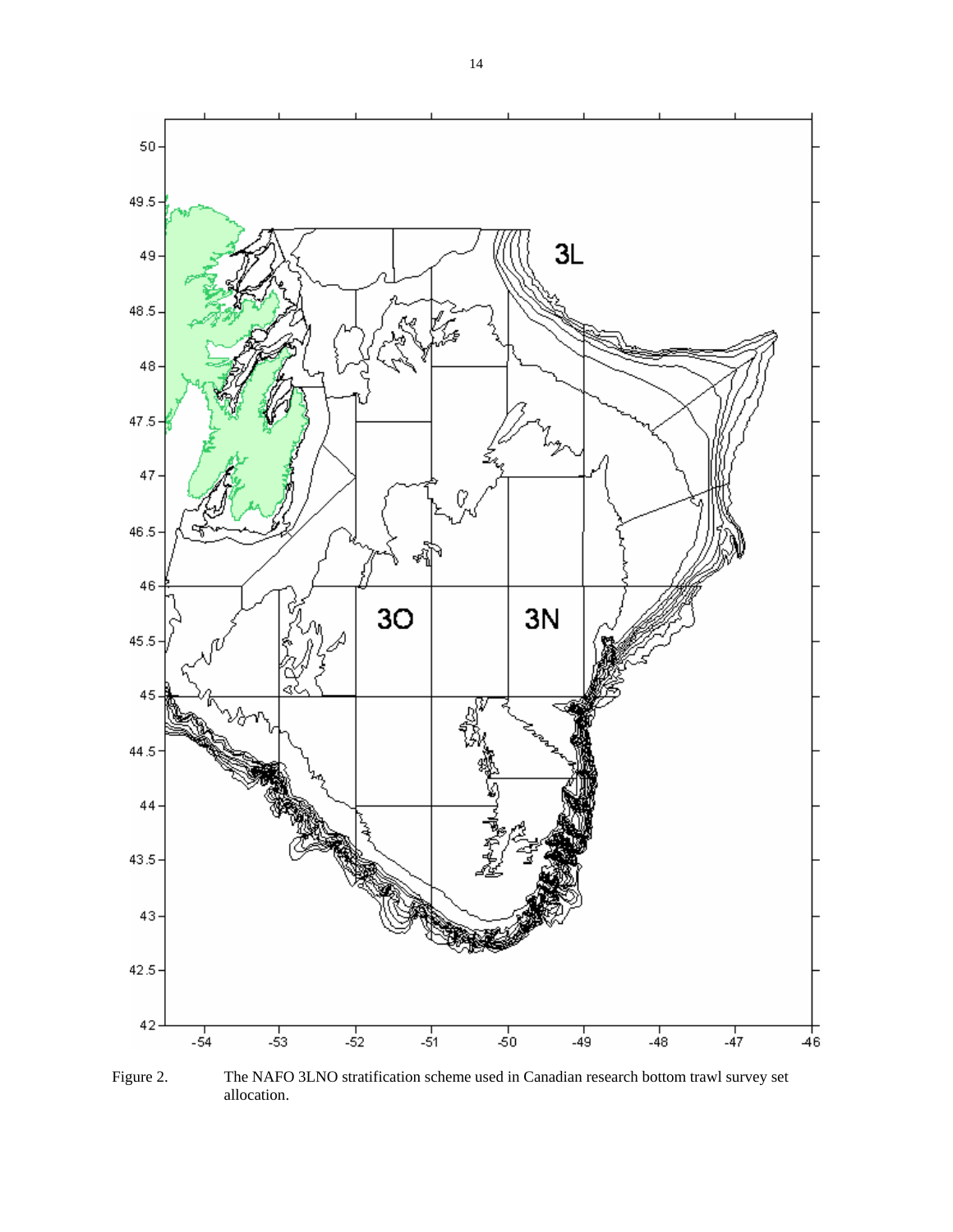

Figure 2. The NAFO 3LNO stratification scheme used in Canadian research bottom trawl survey set allocation.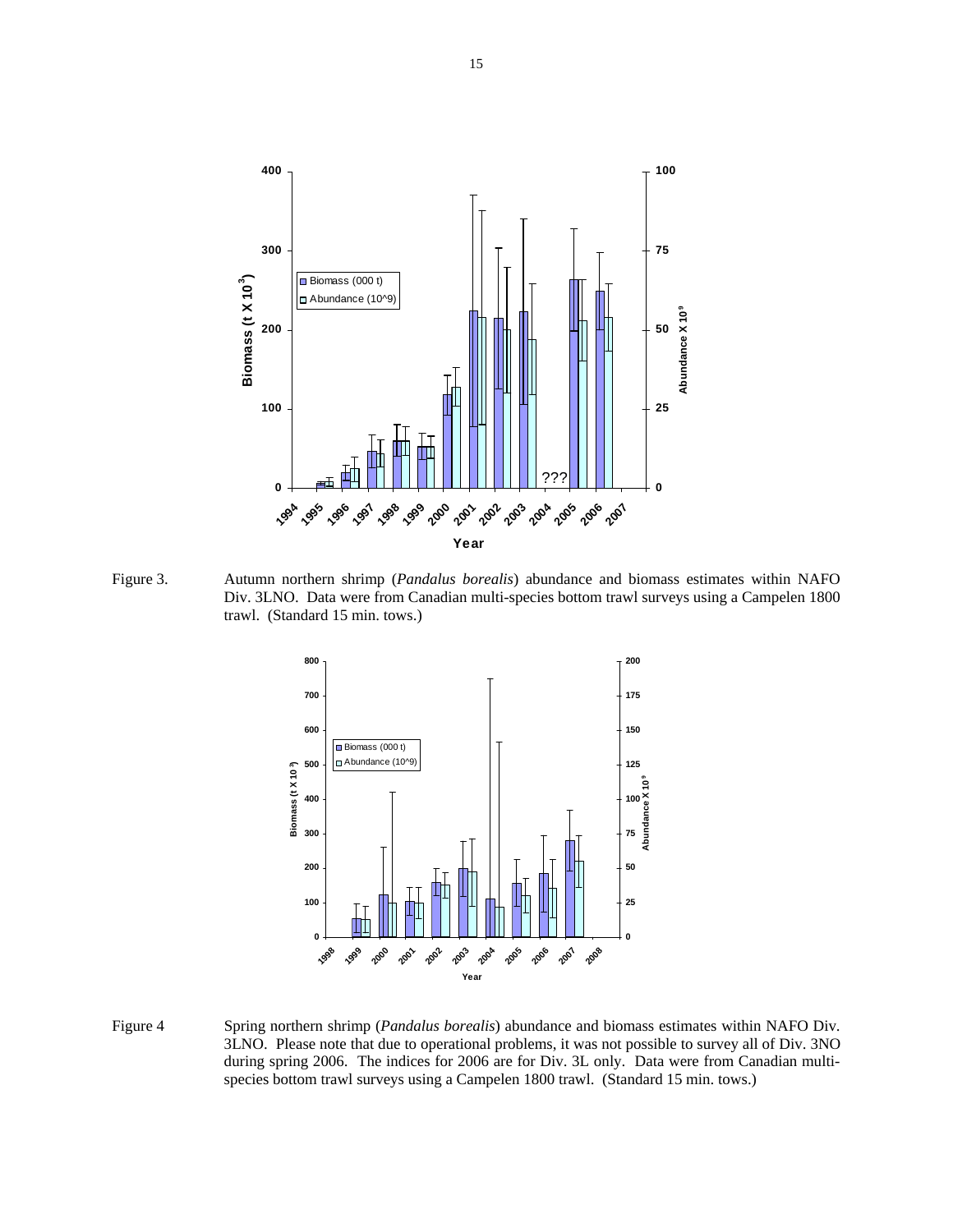

Figure 3. Autumn northern shrimp (*Pandalus borealis*) abundance and biomass estimates within NAFO Div. 3LNO. Data were from Canadian multi-species bottom trawl surveys using a Campelen 1800 trawl. (Standard 15 min. tows.)



Figure 4 Spring northern shrimp (*Pandalus borealis*) abundance and biomass estimates within NAFO Div. 3LNO. Please note that due to operational problems, it was not possible to survey all of Div. 3NO during spring 2006. The indices for 2006 are for Div. 3L only. Data were from Canadian multi species bottom trawl surveys using a Campelen 1800 trawl. (Standard 15 min. tows.)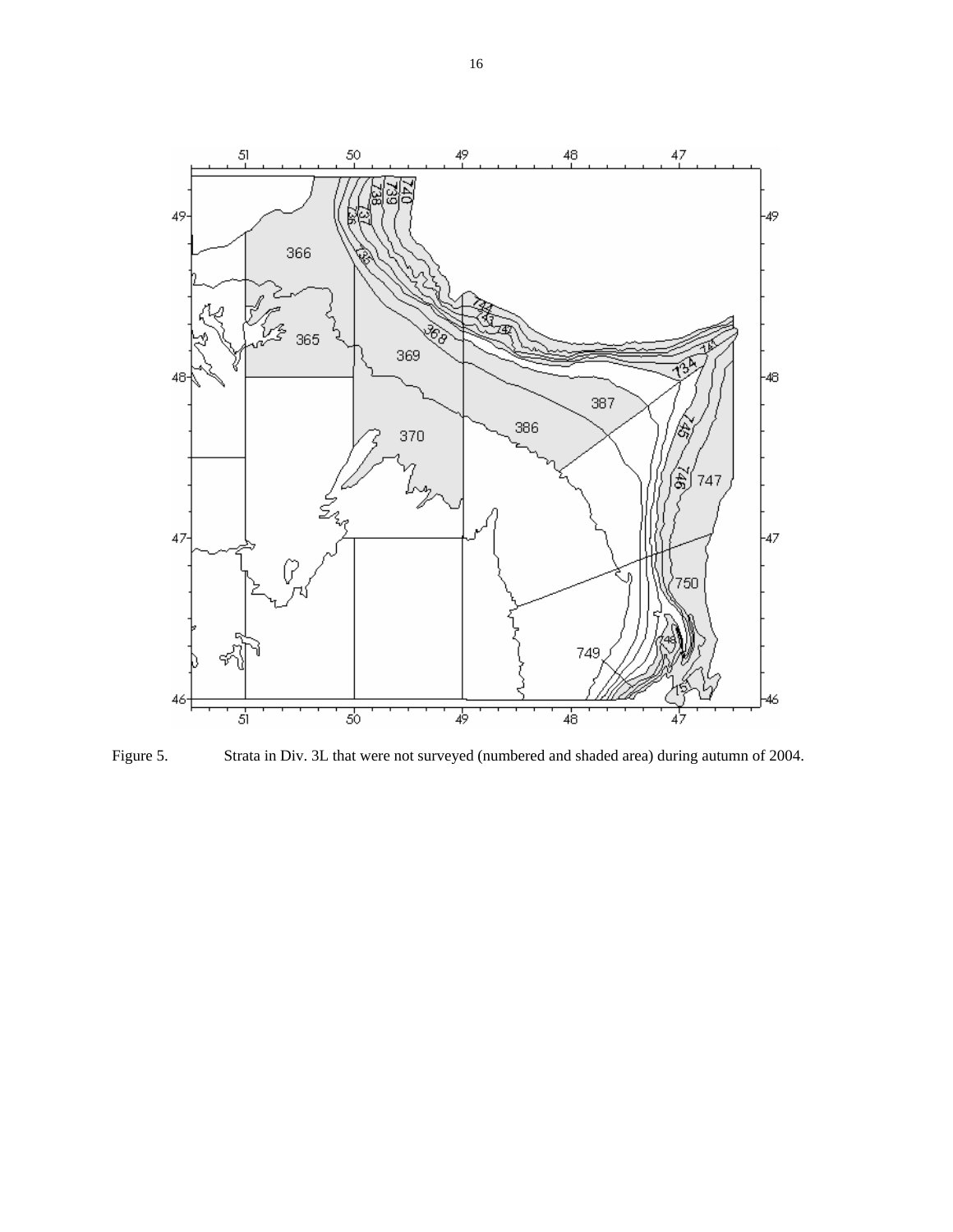

Figure 5. Strata in Div. 3L that were not surveyed (numbered and shaded area) during autumn of 2004.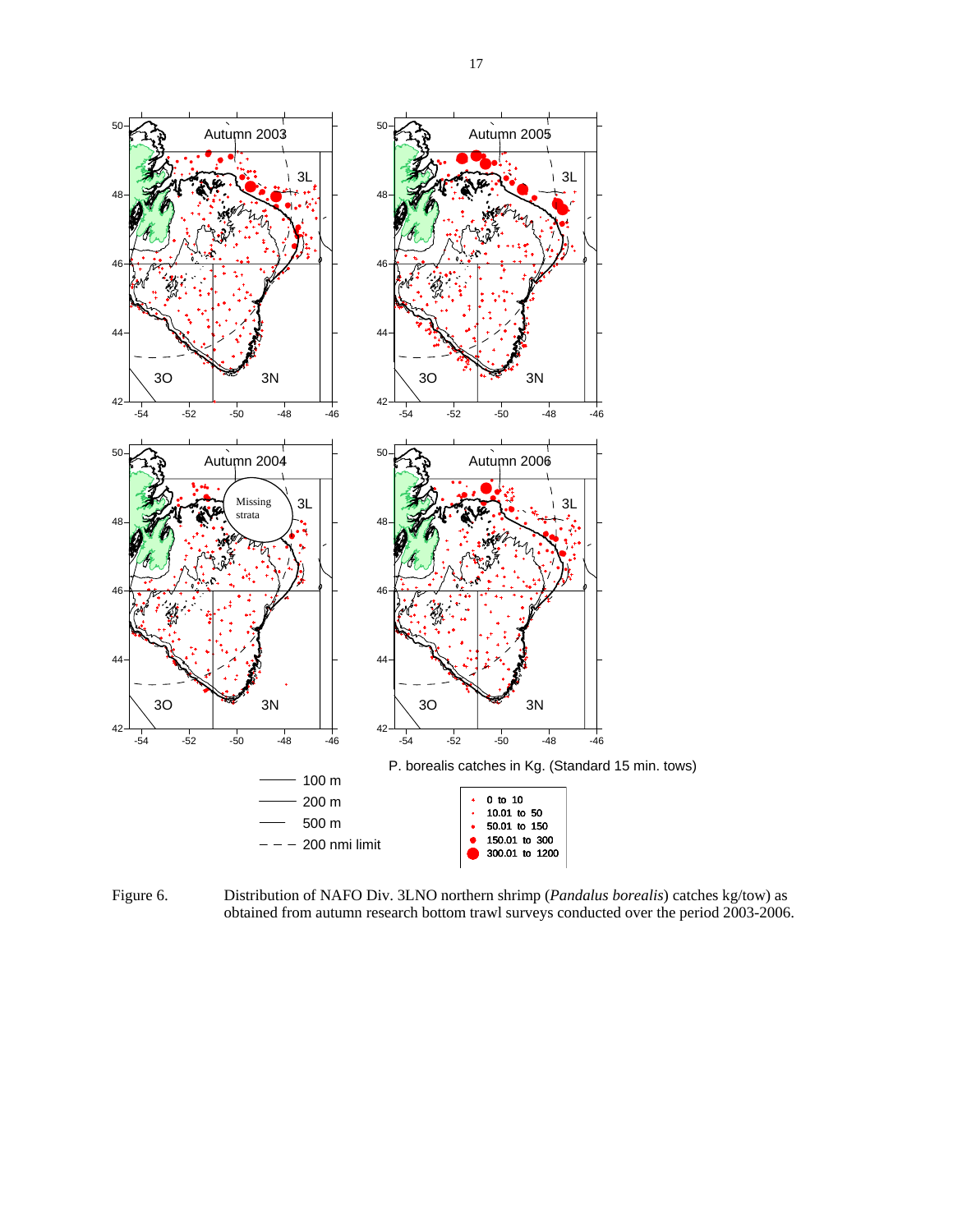

Figure 6. Distribution of NAFO Div. 3LNO northern shrimp (*Pandalus borealis*) catches kg/tow) as obtained from autumn research bottom trawl surveys conducted over the period 2003-2006.